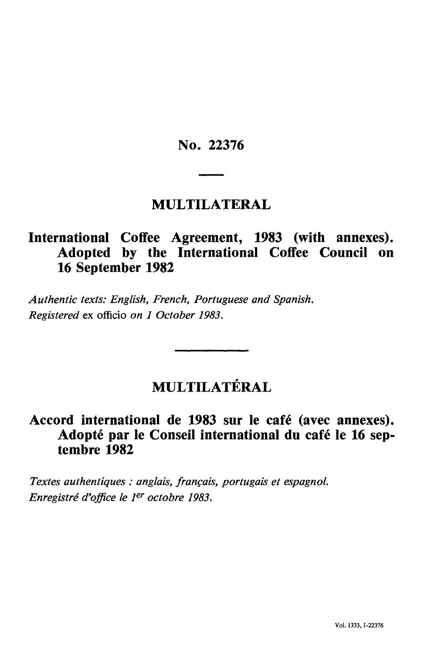No. 22376

# **MULTILATERAL**

# International Coffee Agreement, 1983 (with annexes). Adopted by the International Coffee Council on 16 September 1982

*Authentic texts: English, French, Portuguese and Spanish. Registered* ex officio *on 1 October 1983.*

# **MULTILATERAL**

# Accord international de 1983 sur le café (avec annexes). Adopté par le Conseil international du café le 16 sep tembre 1982

*Textes authentiques : anglais, français, portugais et espagnol. Enregistré d'office le 1er octobre 1983.*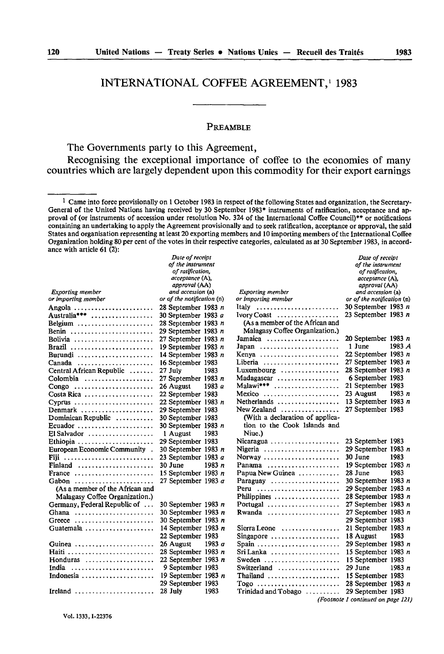# INTERNATIONAL COFFEE AGREEMENT,<sup>1</sup> 1983

#### **PREAMBLE**

The Governments party to this Agreement,

Recognising the exceptional importance of coffee to the economies of many countries which are largely dependent upon this commodity for their export earnings

 $1$  Came into force provisionally on 1 October 1983 in respect of the following States and organization, the Secretary-General of the United Nations having received by 30 September 1983\* instruments of ratification, acceptance and ap proval of (or instruments of accession under resolution No. 324 of the International Coffee Council)\*\* or notifications containing an undertaking to apply the Agreement provisionally and to seek ratification, acceptance or approval, the said States and organisation representing at least 20 exporting members and 10 importing members of the International Coffee Organization holding 80 per cent of the votes in their respective categories, calculated as at 30 September 1983, in accord ance with article 61 (2):

|                                                            | Date of receipt                           |        |                                                    | Date of receipt              |        |
|------------------------------------------------------------|-------------------------------------------|--------|----------------------------------------------------|------------------------------|--------|
|                                                            | of the instrument                         |        |                                                    | of the instrument            |        |
|                                                            | of ratification.                          |        |                                                    | of ratification.             |        |
|                                                            | acceptance (A),                           |        |                                                    | acceptance (A).              |        |
|                                                            | approval (AA)                             |        |                                                    | approval (AA)                |        |
| <b>Exporting member</b>                                    | and accession (a)                         |        | <b>Exporting</b> member                            | and accession (a)            |        |
| or importing member                                        | or of the notification (n)                |        | or importing member                                | or of the notification (n)   |        |
| Angola                                                     | 28 September 1983 $n$                     |        | Italy                                              | 30 September 1983 $n$        |        |
| Australia***                                               | 30 September 1983 a                       |        | Ivory Coast                                        | 23 September 1983 $n$        |        |
| Belgium                                                    | 28 September 1983 $n$                     |        | (As a member of the African and                    |                              |        |
| Benin                                                      | 29 September 1983 $n$                     |        | Malagasy Coffee Organization.)                     |                              |        |
| Bolivia                                                    | 27 September 1983 $n$                     |        | Jamaica                                            | 20 September 1983 $n$        |        |
| Brazil                                                     | 19 September 1983 $n$                     |        | Japan                                              | 1 June                       | 1983 A |
| Burundi                                                    | 14 September 1983 $n$                     |        | Kenya                                              | 22 September 1983 $n$        |        |
| Canada                                                     | 16 September 1983                         |        | Liberia                                            | 27 September 1983 $n$        |        |
| Central African Republic                                   | 27 July                                   | 1983   | Luxembourg                                         | 28 September 1983 n          |        |
| Colombia                                                   | 27 September 1983 $n$                     |        | Madagascar                                         | 6 September 1983             |        |
| Congo                                                      | 26 August                                 | 1983 a | Malawi***                                          | 21 September 1983            |        |
| Costa Rica                                                 | 22 September 1983                         |        | Mexico                                             | 23 August                    | 1983 n |
| Cyprus                                                     | 22 September 1983 n                       |        | Netherlands                                        | 13 September 1983 $n$        |        |
| Denmark                                                    | 29 September 1983                         |        | New Zealand                                        | 27 September 1983            |        |
| Dominican Republic                                         | 30 September 1983                         |        | (With a declaration of applica-                    |                              |        |
| Ecuador                                                    | 30 September 1983 n                       |        | tion to the Cook Islands and                       |                              |        |
| $El$ Salvador                                              | 1 August                                  | 1983   | Niue.)                                             |                              |        |
| Ethiopia                                                   | 29 September 1983                         |        | Nicaragua                                          | 23 September 1983            |        |
| European Economic Community.                               | 30 September 1983 n                       |        | Nigeria                                            | 29 September 1983 $n$        |        |
| Fiji                                                       | 23 September 1983 $a$                     |        | Norway                                             | 30 June                      | 1983   |
| Finland                                                    | 30 June                                   | 1983n  | Panama                                             | 19 September 1983 $n$        |        |
| France                                                     | 15 September 1983 $n$                     |        | Papua New Guinea                                   | 28 June                      | 1983   |
| Gabon                                                      | 27 September 1983 $a$                     |        | Paraguay                                           | 30 September 1983 n          |        |
| (As a member of the African and                            |                                           |        | Peru                                               | 29 September 1983 $n$        |        |
| Malagasy Coffee Organization.)                             |                                           |        | Philippines                                        | 28 September 1983 $n$        |        |
| Germany, Federal Republic of                               | 30 September 1983 $n$                     |        | Portugal                                           | 27 September 1983 n          |        |
| Ghana                                                      | 30 September 1983 $n$                     |        | Rwanda                                             | 27 September 1983 n          |        |
| Greece $\dots\dots\dots\dots\dots\dots\dots\dots\dots$     | 30 September 1983 n                       |        | Sierra Leone $\ldots \ldots \ldots \ldots$         | 29 September 1983            |        |
| Guatemala                                                  | 14 September 1983 $n$                     |        |                                                    | 21 September 1983 $n$        |        |
|                                                            | 22 September 1983                         |        | Singapore $\dots\dots\dots\dots\dots\dots\dots$    | 18 August                    | 1983   |
|                                                            | 26 August                                 | 1983 a |                                                    | 29 September 1983 $n$        |        |
| Haiti                                                      | 28 September 1983 $n$                     |        | $Sri$ Lanka                                        | 15 September 1983 $n$        |        |
| Honduras<br>India                                          | 22 September 1983 $n$<br>9 September 1983 |        | Sweden<br>Switzerland                              | 15 September 1983<br>29 June | 1983n  |
| Indonesia                                                  | 19 September 1983 $n$                     |        |                                                    |                              |        |
|                                                            | 29 September 1983                         |        | Thailand                                           | 15 September 1983            |        |
| Ireland $\ldots \ldots \ldots \ldots \ldots \ldots \ldots$ | 28 July                                   | 1983   | $Togo$<br>$Trioidal$ and $Toba$ go $\ldots \ldots$ | 28 September 1983 $n$        |        |
|                                                            |                                           |        |                                                    | 29 September 1983            |        |

*(Footnote 1 continued on page 121)*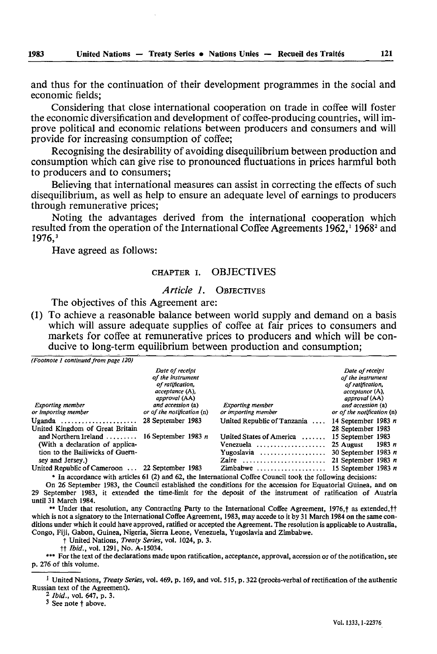and thus for the continuation of their development programmes in the social and economic fields;

Considering that close international cooperation on trade in coffee will foster the economic diversification and development of coffee-producing countries, will im prove political and economic relations between producers and consumers and will provide for increasing consumption of coffee;

Recognising the desirability of avoiding disequilibrium between production and consumption which can give rise to pronounced fluctuations in prices harmful both to producers and to consumers;

Believing that international measures can assist in correcting the effects of such disequilibrium, as well as help to ensure an adequate level of earnings to producers through remunerative prices;

Noting the advantages derived from the international cooperation which resulted from the operation of the International Coffee Agreements 1962,' 19682 and 1976, <sup>3</sup>

Have agreed as follows:

#### CHAPTER i. OBJECTIVES

#### *Article 1.* OBJECTIVES

The objectives of this Agreement are:

(1) To achieve a reasonable balance between world supply and demand on a basis which will assure adequate supplies of coffee at fair prices to consumers and markets for coffee at remunerative prices to producers and which will be con ducive to long-term equilibrium between production and consumption;

*(Footnote 1 continued from page 120)*

| <b>Exporting member</b><br>or importing member                                                                                  | Date of receipt<br>of the instrument<br>of ratification.<br>acceptance (A).<br>approval (AA)<br>and accession (a)<br>or of the notification (n) | <b>Exporting member</b><br>or importing member                                                              | Date of receipt<br>of the instrument<br>of ratification,<br>acceptance (A),<br>approval (AA)<br>and accession (a)<br>or of the notification (n) |
|---------------------------------------------------------------------------------------------------------------------------------|-------------------------------------------------------------------------------------------------------------------------------------------------|-------------------------------------------------------------------------------------------------------------|-------------------------------------------------------------------------------------------------------------------------------------------------|
| Uganda<br>United Kingdom of Great Britain                                                                                       | 28 September 1983                                                                                                                               | United Republic of Tanzania                                                                                 | 14 September 1983 $n$<br>28 September 1983                                                                                                      |
| and Northern Ireland $\ldots \ldots$<br>(With a declaration of applica-<br>tion to the Bailiwicks of Guern-<br>sey and Jersey.) | 16 September 1983 $n$                                                                                                                           | United States of America<br>Venezuela<br>Yugoslavia                                                         | 15 September 1983<br>1983 $n$<br>25 August<br>30 September 1983 $n$                                                                             |
| United Republic of Cameroon  22 September 1983                                                                                  |                                                                                                                                                 | Zimbabwe  15 September 1983 n                                                                               |                                                                                                                                                 |
|                                                                                                                                 |                                                                                                                                                 | • In accordance with articles 61 (2) and 62, the International Coffee Council took the following decisions: |                                                                                                                                                 |

On 26 September 1983, the Council established the conditions for the accession for Equatorial Guinea, and on 29 September 1983, it extended the time-limit for the deposit of the instrument of ratification of Austria until 31 March 1984.

\*\* Under that resolution, any Contracting Party to the International Coffee Agreement, 1976,† as extended.†† which is not a signatory to the International Coffee Agreement, 1983, may accede to it by 31 March 1984 on the same con ditions under which it could have approved, ratified or accepted the Agreement. The resolution is applicable to Australia, Congo, Fiji, Gabon, Guinea, Nigeria, Sierra Leone, Venezuela, Yugoslavia and Zimbabwe.

t United Nations, *Treaty Series,* vol. 1024, p. 3.

tt *Ibid.,* vol. 1291, No. A-15034.

\*\*\* For the text of the declarations made upon ratification, acceptance, approval, accession or of the notification, see p. 276 of this volume.

2 *Ibid.,* vol. 647, p. 3.

 $3$  See note  $\dagger$  above.

<sup>1</sup> United Nations, *Treaty Series,* vol. 469, p. 169, and vol. 515, p. 322 (procès-verbal of rectification of the authentic Russian text of the Agreement).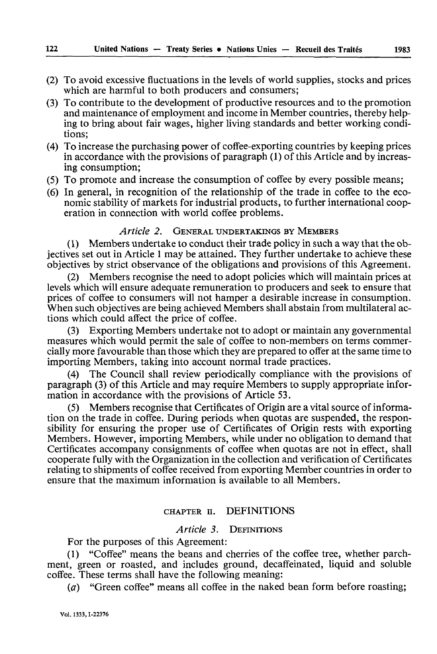- (2) To avoid excessive fluctuations in the levels of world supplies, stocks and prices which are harmful to both producers and consumers;
- (3) To contribute to the development of productive resources and to the promotion and maintenance of employment and income in Member countries, thereby help ing to bring about fair wages, higher living standards and better working condi tions;
- (4) To increase the purchasing power of coffee-exporting countries by keeping prices in accordance with the provisions of paragraph (1) of this Article and by increas ing consumption;
- (5) To promote and increase the consumption of coffee by every possible means;
- (6) In general, in recognition of the relationship of the trade in coffee to the eco nomic stability of markets for industrial products, to further international coop eration in connection with world coffee problems.

#### *Article 2.* GENERAL UNDERTAKINGS BY MEMBERS

 $(1)$  Members undertake to conduct their trade policy in such a way that the objectives set out in Article 1 may be attained. They further undertake to achieve these objectives by strict observance of the obligations and provisions of this Agreement.

(2) Members recognise the need to adopt policies which will maintain prices at levels which will ensure adequate remuneration to producers and seek to ensure that prices of coffee to consumers will not hamper a desirable increase in consumption. When such objectives are being achieved Members shall abstain from multilateral ac tions which could affect the price of coffee.

(3) Exporting Members undertake not to adopt or maintain any governmental measures which would permit the sale of coffee to non-members on terms commer cially more favourable than those which they are prepared to offer at the same time to importing Members, taking into account normal trade practices.

(4) The Council shall review periodically compliance with the provisions of paragraph (3) of this Article and may require Members to supply appropriate infor mation in accordance with the provisions of Article 53.

Members recognise that Certificates of Origin are a vital source of information on the trade in coffee. During periods when quotas are suspended, the respon sibility for ensuring the proper use of Certificates of Origin rests with exporting Members. However, importing Members, while under no obligation to demand that Certificates accompany consignments of coffee when quotas are not in effect, shall cooperate fully with the Organization in the collection and verification of Certificates relating to shipments of coffee received from exporting Member countries in order to ensure that the maximum information is available to all Members.

#### CHAPTER ii. DEFINITIONS

#### *Article 3.* DEFINITIONS

For the purposes of this Agreement:

(1) "Coffee" means the beans and cherries of the coffee tree, whether parch ment, green or roasted, and includes ground, decaffeinated, liquid and soluble coffee. These terms shall have the following meaning:

*(a)* "Green coffee" means all coffee in the naked bean form before roasting;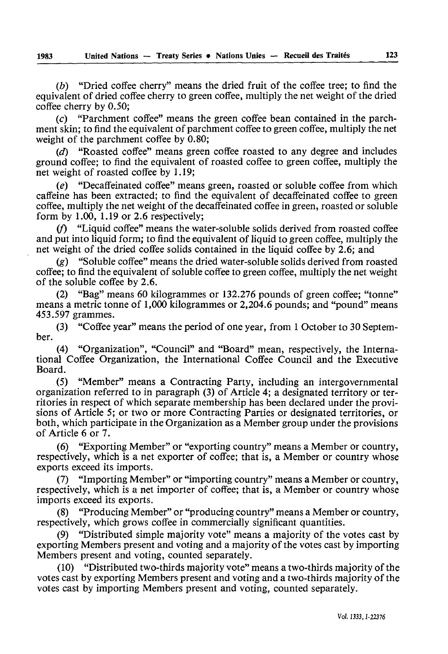*(b)* "Dried coffee cherry" means the dried fruit of the coffee tree; to find the equivalent of dried coffee cherry to green coffee, multiply the net weight of the dried coffee cherry by 0.50;

*(c)* "Parchment coffee" means the green coffee bean contained in the parch ment skin; to find the equivalent of parchment coffee to green coffee, multiply the net weight of the parchment coffee by 0.80;

*(d)* "Roasted coffee" means green coffee roasted to any degree and includes ground coffee; to find the equivalent of roasted coffee to green coffee, multiply the net weight of roasted coffee by 1.19;

*(e)* "Decaffeinated coffee" means green, roasted or soluble coffee from which caffeine has been extracted; to find the equivalent of decaffeinated coffee to green coffee, multiply the net weight of the decaffeinated coffee in green, roasted or soluble form by  $1.00$ ,  $1.19$  or  $2.6$  respectively;

*(f)* "Liquid coffee" means the water-soluble solids derived from roasted coffee and put into liquid form; to find the equivalent of liquid to green coffee, multiply the net weight of the dried coffee solids contained in the liquid coffee by 2.6; and

 $(g)$  "Soluble coffee" means the dried water-soluble solids derived from roasted coffee; to find the equivalent of soluble coffee to green coffee, multiply the net weight of the soluble coffee by 2.6.

(2) "Bag" means 60 kilogrammes or 132.276 pounds of green coffee; "tonne" means a metric tonne of 1,000 kilogrammes or 2,204.6 pounds; and "pound" means 453.597 grammes.

(3) "Coffee year" means the period of one year, from 1 October to 30 Septem ber.

(4) "Organization", "Council" and "Board" mean, respectively, the Interna tional Coffee Organization, the International Coffee Council and the Executive Board.

"Member" means a Contracting Party, including an intergovernmental organization referred to in paragraph (3) of Article 4; a designated territory or ter ritories in respect of which separate membership has been declared under the provi sions of Article 5; or two or more Contracting Parties or designated territories, or both, which participate in the Organization as a Member group under the provisions of Article 6 or 7.

(6) "Exporting Member" or "exporting country" means a Member or country, respectively, which is a net exporter of coffee; that is, a Member or country whose exports exceed its imports.

(7) "Importing Member" or "importing country" means a Member or country, respectively, which is a net importer of coffee; that is, a Member or country whose imports exceed its exports.

(8) "Producing Member" or "producing country" means a Member or country, respectively, which grows coffee in commercially significant quantities.

(9) "Distributed simple majority vote" means a majority of the votes cast by exporting Members present and voting and a majority of the votes cast by importing Members present and voting, counted separately.

(10) "Distributed two-thirds majority vote" means a two-thirds majority of the votes cast by exporting Members present and voting and a two-thirds majority of the votes cast by importing Members present and voting, counted separately.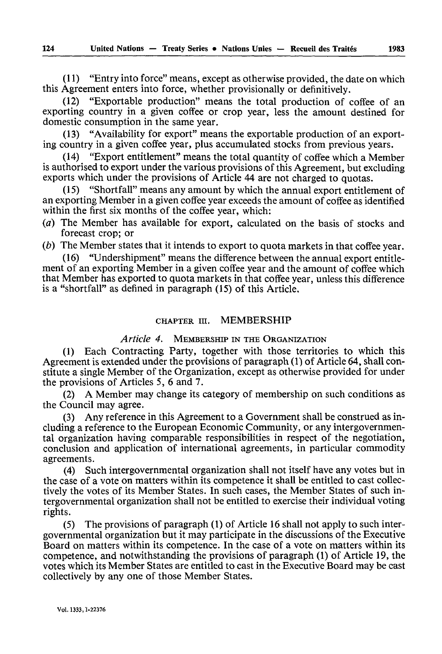(11) "Entry into force" means, except as otherwise provided, the date on which this Agreement enters into force, whether provisionally or definitively.

(12) "Exportable production" means the total production of coffee of an exporting country in a given coffee or crop year, less the amount destined for domestic consumption in the same year.

(13) "Availability for export" means the exportable production of an export ing country in a given coffee year, plus accumulated stocks from previous years.

(14) "Export entitlement" means the total quantity of coffee which a Member is authorised to export under the various provisions of this Agreement, but excluding exports which under the provisions of Article 44 are not charged to quotas.

"Shortfall" means any amount by which the annual export entitlement of an exporting Member in a given coffee year exceeds the amount of coffee as identified within the first six months of the coffee year, which:

- *(a)* The Member has available for export, calculated on the basis of stocks and forecast crop; or
- *(b)* The Member states that it intends to export to quota markets in that coffee year.

(16) "Undershipment" means the difference between the annual export entitle ment of an exporting Member in a given coffee year and the amount of coffee which that Member has exported to quota markets in that coffee year, unless this difference is a "shortfall" as defined in paragraph (15) of this Article.

# CHAPTER in. MEMBERSHIP

#### *Article 4.* MEMBERSHIP IN THE ORGANIZATION

(1) Each Contracting Party, together with those territories to which this Agreement is extended under the provisions of paragraph (1) of Article 64, shall con stitute a single Member of the Organization, except as otherwise provided for under the provisions of Articles 5, 6 and 7.

(2) A Member may change its category of membership on such conditions as the Council may agree.

(3) Any reference in this Agreement to a Government shall be construed as in cluding a reference to the European Economic Community, or any intergovernmen tal organization having comparable responsibilities in respect of the negotiation, conclusion and application of international agreements, in particular commodity agreements.

(4) Such intergovernmental organization shall not itself have any votes but in the case of a vote on matters within its competence it shall be entitled to cast collec tively the votes of its Member States. In such cases, the Member States of such in tergovernmental organization shall not be entitled to exercise their individual voting rights.

(5) The provisions of paragraph (1) of Article 16 shall not apply to such inter governmental organization but it may participate in the discussions of the Executive Board on matters within its competence. In the case of a vote on matters within its competence, and notwithstanding the provisions of paragraph (1) of Article 19, the votes which its Member States are entitled to cast in the Executive Board may be cast collectively by any one of those Member States.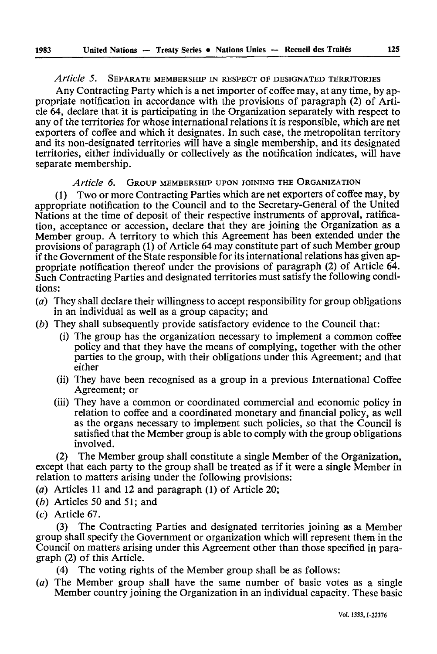## *Article 5.* SEPARATE MEMBERSHIP IN RESPECT OF DESIGNATED TERRITORIES

Any Contracting Party which is a net importer of coffee may, at any time, by ap propriate notification in accordance with the provisions of paragraph (2) of Arti cle 64, declare that it is participating in the Organization separately with respect to any of the territories for whose international relations it is responsible, which are net exporters of coffee and which it designates. In such case, the metropolitan territory and its non-designated territories will have a single membership, and its designated territories, either individually or collectively as the notification indicates, will have separate membership.

#### *Article 6.* GROUP MEMBERSHIP UPON JOINING THE ORGANIZATION

(1) Two or more Contracting Parties which are net exporters of coffee may, by appropriate notification to the Council and to the Secretary-General of the United Nations at the time of deposit of their respective instruments of approval, ratifica tion, acceptance or accession, declare that they are joining the Organization as a Member group. A territory to which this Agreement has been extended under the provisions of paragraph (1) of Article 64 may constitute part of such Member group if the Government of the State responsible for its international relations has given ap propriate notification thereof under the provisions of paragraph (2) of Article 64. Such Contracting Parties and designated territories must satisfy the following condi tions:

- *(a)* They shall declare their willingness to accept responsibility for group obligations in an individual as well as a group capacity; and
- (6) They shall subsequently provide satisfactory evidence to the Council that:
	- (i) The group has the organization necessary to implement a common coffee policy and that they have the means of complying, together with the other parties to the group, with their obligations under this Agreement; and that either
	- (ii) They have been recognised as a group in a previous International Coffee Agreement; or
	- (iii) They have a common or coordinated commercial and economic policy in relation to coffee and a coordinated monetary and financial policy, as well as the organs necessary to implement such policies, so that the Council is satisfied that the Member group is able to comply with the group obligations involved.

(2) The Member group shall constitute a single Member of the Organization, except that each party to the group shall be treated as if it were a single Member in relation to matters arising under the following provisions:

- *(a)* Articles 11 and 12 and paragraph (1) of Article 20;
- *(b)* Articles 50 and 51; and
- (c) Article 67.

(3) The Contracting Parties and designated territories joining as a Member group shall specify the Government or organization which will represent them in the Council on matters arising under this Agreement other than those specified in para graph (2) of this Article.

(4) The voting rights of the Member group shall be as follows:

*(a)* The Member group shall have the same number of basic votes as a single Member country joining the Organization in an individual capacity. These basic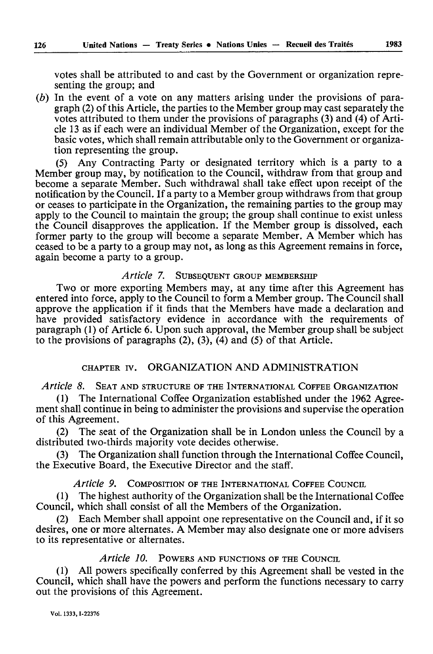votes shall be attributed to and cast by the Government or organization repre senting the group; and

*(b)* In the event of a vote on any matters arising under the provisions of para graph (2) of this Article, the parties to the Member group may cast separately the votes attributed to them under the provisions of paragraphs (3) and (4) of Arti cle 13 as if each were an individual Member of the Organization, except for the basic votes, which shall remain attributable only to the Government or organiza tion representing the group.

(5) Any Contracting Party or designated territory which is a party to a Member group may, by notification to the Council, withdraw from that group and become a separate Member. Such withdrawal shall take effect upon receipt of the notification by the Council. If a party to a Member group withdraws from that group or ceases to participate in the Organization, the remaining parties to the group may apply to the Council to maintain the group; the group shall continue to exist unless the Council disapproves the application. If the Member group is dissolved, each former party to the group will become a separate Member. A Member which has ceased to be a party to a group may not, as long as this Agreement remains in force, again become a party to a group.

#### *Article 7.* SUBSEQUENT GROUP MEMBERSHIP

Two or more exporting Members may, at any time after this Agreement has entered into force, apply to the Council to form a Member group. The Council shall approve the application if it finds that the Members have made a declaration and have provided satisfactory evidence in accordance with the requirements of paragraph (1) of Article 6. Upon such approval, the Member group shall be subject to the provisions of paragraphs (2), (3), (4) and (5) of that Article.

#### CHAPTER iv. ORGANIZATION AND ADMINISTRATION

*Article 8.* SEAT AND STRUCTURE OF THE INTERNATIONAL COFFEE ORGANIZATION

(1) The International Coffee Organization established under the 1962 Agree ment shall continue in being to administer the provisions and supervise the operation of this Agreement.

(2) The seat of the Organization shall be in London unless the Council by a distributed two-thirds majority vote decides otherwise.

(3) The Organization shall function through the International Coffee Council, the Executive Board, the Executive Director and the staff.

# *Article 9.* COMPOSITION OF THE INTERNATIONAL COFFEE COUNCIL

(1) The highest authority of the Organization shall be the International Coffee Council, which shall consist of all the Members of the Organization.

(2) Each Member shall appoint one representative on the Council and, if it so desires, one or more alternates. A Member may also designate one or more advisers to its representative or alternates.

# *Article 10.* POWERS AND FUNCTIONS OF THE COUNCIL

(1) All powers specifically conferred by this Agreement shall be vested in the Council, which shall have the powers and perform the functions necessary to carry out the provisions of this Agreement.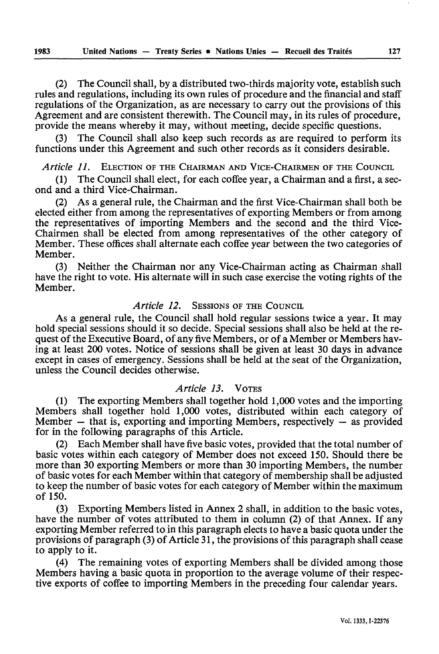(2) The Council shall, by a distributed two-thirds majority vote, establish such rules and regulations, including its own rules of procedure and the financial and staff regulations of the Organization, as are necessary to carry out the provisions of this Agreement and are consistent therewith. The Council may, in its rules of procedure, provide the means whereby it may, without meeting, decide specific questions.

(3) The Council shall also keep such records as are required to perform its functions under this Agreement and such other records as it considers desirable.

#### *Article 11.* ELECTION OF THE CHAIRMAN AND VICE-CHAIRMEN OF THE COUNCIL

(1) The Council shall elect, for each coffee year, a Chairman and a first, a sec ond and a third Vice-Chairman.

(2) As a general rule, the Chairman and the first Vice-Chairman shall both be elected either from among the representatives of exporting Members or from among the representatives of importing Members and the second and the third Vice-Chairmen shall be elected from among representatives of the other category of Member. These offices shall alternate each coffee year between the two categories of Member.

(3) Neither the Chairman nor any Vice-Chairman acting as Chairman shall have the right to vote. His alternate will in such case exercise the voting rights of the Member.

# *Article 12.* SESSIONS OF THE COUNCIL

As a general rule, the Council shall hold regular sessions twice a year. It may hold special sessions should it so decide. Special sessions shall also be held at the re quest of the Executive Board, of any five Members, or of a Member or Members hav ing at least 200 votes. Notice of sessions shall be given at least 30 days in advance except in cases of emergency. Sessions shall be held at the seat of the Organization, unless the Council decides otherwise.

#### *Article 13.* VOTES

(1) The exporting Members shall together hold 1,000 votes and the importing Members shall together hold 1,000 votes, distributed within each category of Member  $-$  that is, exporting and importing Members, respectively  $-$  as provided for in the following paragraphs of this Article.

(2) Each Member shall have five basic votes, provided that the total number of basic votes within each category of Member does not exceed 150. Should there be more than 30 exporting Members or more than 30 importing Members, the number of basic votes for each Member within that category of membership shall be adjusted to keep the number of basic votes for each category of Member within the maximum of 150.

(3) Exporting Members listed in Annex 2 shall, in addition to the basic votes, have the number of votes attributed to them in column (2) of that Annex. If any exporting Member referred to in this paragraph elects to have a basic quota under the provisions of paragraph (3) of Article 31, the provisions of this paragraph shall cease to apply to it.

(4) The remaining votes of exporting Members shall be divided among those Members having a basic quota in proportion to the average volume of their respec tive exports of coffee to importing Members in the preceding four calendar years.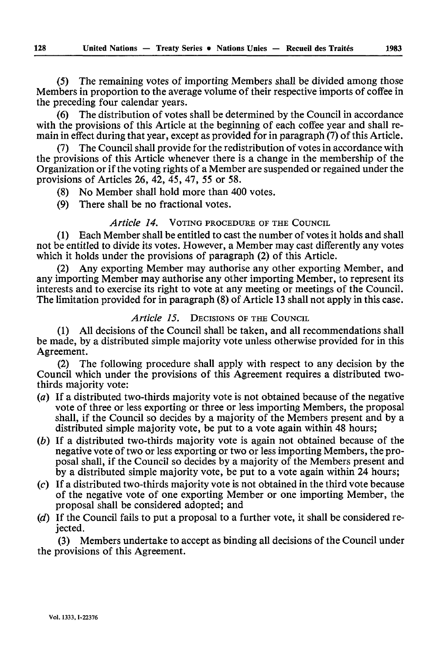(5) The remaining votes of importing Members shall be divided among those Members in proportion to the average volume of their respective imports of coffee in the preceding four calendar years.

(6) The distribution of votes shall be determined by the Council in accordance with the provisions of this Article at the beginning of each coffee year and shall re main in effect during that year, except as provided for in paragraph (7) of this Article.

(7) The Council shall provide for the redistribution of votes in accordance with the provisions of this Article whenever there is a change in the membership of the Organization or if the voting rights of a Member are suspended or regained under the provisions of Articles 26, 42, 45, 47, 55 or 58.

- (8) No Member shall hold more than 400 votes.
- (9) There shall be no fractional votes.

## *Article 14.* VOTING PROCEDURE OF THE COUNCIL

(1) Each Member shall be entitled to cast the number of votes it holds and shall not be entitled to divide its votes. However, a Member may cast differently any votes which it holds under the provisions of paragraph (2) of this Article.

(2) Any exporting Member may authorise any other exporting Member, and any importing Member may authorise any other importing Member, to represent its interests and to exercise its right to vote at any meeting or meetings of the Council. The limitation provided for in paragraph (8) of Article 13 shall not apply in this case.

# *Article 15.* DECISIONS OF THE COUNCIL

(1) All decisions of the Council shall be taken, and all recommendations shall be made, by a distributed simple majority vote unless otherwise provided for in this Agreement.

(2) The following procedure shall apply with respect to any decision by the Council which under the provisions of this Agreement requires a distributed twothirds majority vote:

- *(a)* If a distributed two-thirds majority vote is not obtained because of the negative vote of three or less exporting or three or less importing Members, the proposal shall, if the Council so decides by a majority of the Members present and by a distributed simple majority vote, be put to a vote again within 48 hours;
- (6) If a distributed two-thirds majority vote is again not obtained because of the negative vote of two or less exporting or two or less importing Members, the pro posal shall, if the Council so decides by a majority of the Members present and by a distributed simple majority vote, be put to a vote again within 24 hours;
- (c) If a distributed two-thirds majority vote is not obtained in the third vote because of the negative vote of one exporting Member or one importing Member, the proposal shall be considered adopted; and
- $(d)$  If the Council fails to put a proposal to a further vote, it shall be considered rejected.

(3) Members undertake to accept as binding all decisions of the Council under the provisions of this Agreement.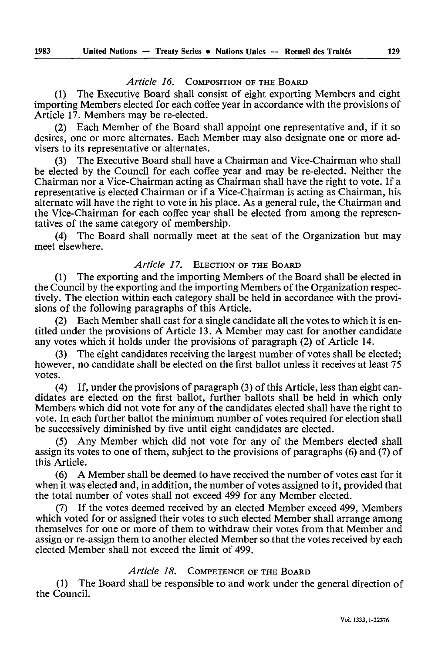#### *Article 16.* COMPOSITION OF THE BOARD

(1) The Executive Board shall consist of eight exporting Members and eight importing Members elected for each coffee year in accordance with the provisions of Article 17. Members may be re-elected.

(2) Each Member of the Board shall appoint one representative and, if it so desires, one or more alternates. Each Member may also designate one or more ad visers to its representative or alternates.

(3) The Executive Board shall have a Chairman and Vice-Chairman who shall be elected by the Council for each coffee year and may be re-elected. Neither the Chairman nor a Vice-Chairman acting as Chairman shall have the right to vote. If a representative is elected Chairman or if a Vice-Chairman is acting as Chairman, his alternate will have the right to vote in his place. As a general rule, the Chairman and the Vice-Chairman for each coffee year shall be elected from among the represen tatives of the same category of membership.

(4) The Board shall normally meet at the seat of the Organization but may meet elsewhere.

#### *Article 17.* ELECTION OF THE BOARD

(1) The exporting and the importing Members of the Board shall be elected in the Council by the exporting and the importing Members of the Organization respec tively. The election within each category shall be held in accordance with the provi sions of the following paragraphs of this Article.

(2) Each Member shall cast for a single candidate all the votes to which it is en titled under the provisions of Article 13. A Member may cast for another candidate any votes which it holds under the provisions of paragraph (2) of Article 14.

(3) The eight candidates receiving the largest number of votes shall be elected; however, no candidate shall be elected on the first ballot unless it receives at least 75 votes.

(4) If, under the provisions of paragraph (3) of this Article, less than eight can didates are elected on the first ballot, further ballots shall be held in which only Members which did not vote for any of the candidates elected shall have the right to vote. In each further ballot the minimum number of votes required for election shall be successively diminished by five until eight candidates are elected.

(5) Any Member which did not vote for any of the Members elected shall assign its votes to one of them, subject to the provisions of paragraphs (6) and (7) of this Article.

(6) A Member shall be deemed to have received the number of votes cast for it when it was elected and, in addition, the number of votes assigned to it, provided that the total number of votes shall not exceed 499 for any Member elected.

(7) If the votes deemed received by an elected Member exceed 499, Members which voted for or assigned their votes to such elected Member shall arrange among themselves for one or more of them to withdraw their votes from that Member and assign or re-assign them to another elected Member so that the votes received by each elected Member shall not exceed the limit of 499.

# *Article 18.* COMPETENCE OF THE BOARD

(1) The Board shall be responsible to and work under the general direction of the Council.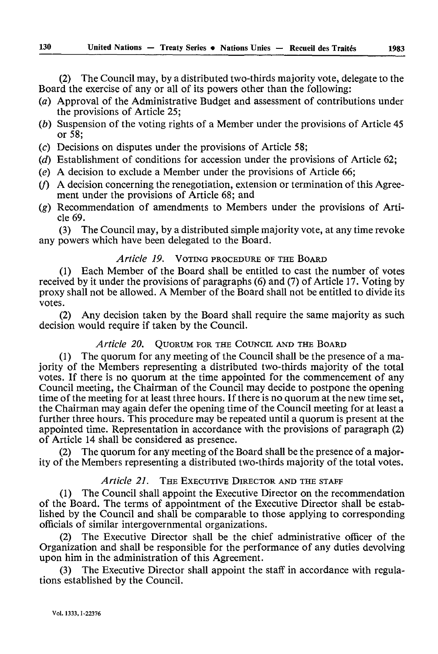(2) The Council may, by a distributed two-thirds majority vote, delegate to the Board the exercise of any or all of its powers other than the following:

- *(a)* Approval of the Administrative Budget and assessment of contributions under the provisions of Article 25;
- (6) Suspension of the voting rights of a Member under the provisions of Article 45 or 58;
- (c) Decisions on disputes under the provisions of Article 58;
- *(d)* Establishment of conditions for accession under the provisions of Article 62;
- *(è)* A decision to exclude a Member under the provisions of Article 66;
- $(f)$  A decision concerning the renegotiation, extension or termination of this Agreement under the provisions of Article 68; and
- (g) Recommendation of amendments to Members under the provisions of Arti cle 69.

(3) The Council may, by a distributed simple majority vote, at any time revoke any powers which have been delegated to the Board.

# *Article 19.* VOTING PROCEDURE OF THE BOARD

(1) Each Member of the Board shall be entitled to cast the number of votes received by it under the provisions of paragraphs (6) and (7) of Article 17. Voting by proxy shall not be allowed. A Member of the Board shall not be entitled to divide its votes.

(2) Any decision taken by the Board shall require the same majority as such decision would require if taken by the Council.

# Article 20. OUORUM FOR THE COUNCIL AND THE BOARD

(1) The quorum for any meeting of the Council shall be the presence of a ma jority of the Members representing a distributed two-thirds majority of the total votes. If there is no quorum at the time appointed for the commencement of any Council meeting, the Chairman of the Council may decide to postpone the opening time of the meeting for at least three hours. If there is no quorum at the new time set, the Chairman may again defer the opening time of the Council meeting for at least a further three hours. This procedure may be repeated until a quorum is present at the appointed time. Representation in accordance with the provisions of paragraph (2) of Article 14 shall be considered as presence.

The quorum for any meeting of the Board shall be the presence of a majority of the Members representing a distributed two-thirds majority of the total votes.

#### Article 21. THE EXECUTIVE DIRECTOR AND THE STAFF

(1) The Council shall appoint the Executive Director on the recommendation of the Board. The terms of appointment of the Executive Director shall be estab lished by the Council and shall be comparable to those applying to corresponding officials of similar intergovernmental organizations.

The Executive Director shall be the chief administrative officer of the Organization and shall be responsible for the performance of any duties devolving upon him in the administration of this Agreement.

(3) The Executive Director shall appoint the staff in accordance with regula tions established by the Council.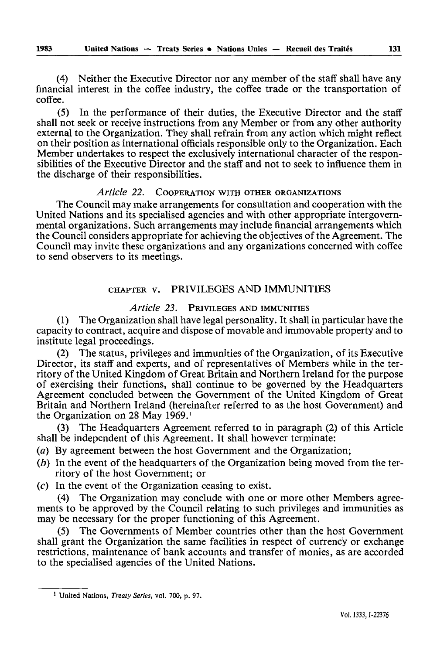(4) Neither the Executive Director nor any member of the staff shall have any financial interest in the coffee industry, the coffee trade or the transportation of coffee.

(5) In the performance of their duties, the Executive Director and the staff shall not seek or receive instructions from any Member or from any other authority external to the Organization. They shall refrain from any action which might reflect on their position as international officials responsible only to the Organization. Each Member undertakes to respect the exclusively international character of the respon sibilities of the Executive Director and the staff and not to seek to influence them in the discharge of their responsibilities.

#### *Article 22.* COOPERATION WITH OTHER ORGANIZATIONS

The Council may make arrangements for consultation and cooperation with the United Nations and its specialised agencies and with other appropriate intergovern mental organizations. Such arrangements may include financial arrangements which the Council considers appropriate for achieving the objectives of the Agreement. The Council may invite these organizations and any organizations concerned with coffee to send observers to its meetings.

# CHAPTER v. PRIVILEGES AND IMMUNITIES

#### *Article 23.* PRIVILEGES AND IMMUNITIES

(1) The Organization shall have legal personality. It shall in particular have the capacity to contract, acquire and dispose of movable and immovable property and to institute legal proceedings.

(2) The status, privileges and immunities of the Organization, of its Executive Director, its staff and experts, and of representatives of Members while in the ter ritory of the United Kingdom of Great Britain and Northern Ireland for the purpose of exercising their functions, shall continue to be governed by the Headquarters Agreement concluded between the Government of the United Kingdom of Great Britain and Northern Ireland (hereinafter referred to as the host Government) and the Organization on 28 May 1969.<sup>1</sup>

(3) The Headquarters Agreement referred to in paragraph (2) of this Article shall be independent of this Agreement. It shall however terminate:

- (a) By agreement between the host Government and the Organization;
- $(b)$  In the event of the headquarters of the Organization being moved from the territory of the host Government; or
- (c) In the event of the Organization ceasing to exist.

(4) The Organization may conclude with one or more other Members agree ments to be approved by the Council relating to such privileges and immunities as may be necessary for the proper functioning of this Agreement.

(5) The Governments of Member countries other than the host Government shall grant the Organization the same facilities in respect of currency or exchange restrictions, maintenance of bank accounts and transfer of monies, as are accorded to the specialised agencies of the United Nations.

<sup>1</sup> United Nations, *Treaty Series,* vol. 700, p. 97.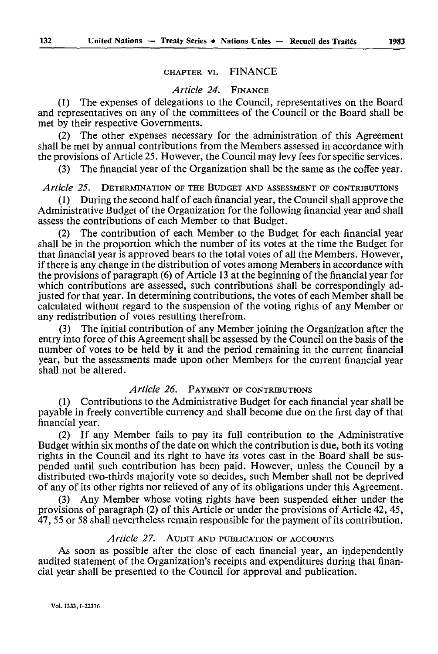#### CHAPTER VI. FINANCE

#### *Article 24.* FINANCE

(1) The expenses of delegations to the Council, representatives on the Board and representatives on any of the committees of the Council or the Board shall be met by their respective Governments.

(2) The other expenses necessary for the administration of this Agreement shall be met by annual contributions from the Members assessed in accordance with the provisions of Article 25. However, the Council may levy fees for specific services.

(3) The financial year of the Organization shall be the same as the coffee year.

#### *Article 25.* DETERMINATION OF THE BUDGET AND ASSESSMENT OF CONTRIBUTIONS

(1) During the second half of each financial year, the Council shall approve the Administrative Budget of the Organization for the following financial year and shall assess the contributions of each Member to that Budget.

(2) The contribution of each Member to the Budget for each financial year shall be in the proportion which the number of its votes at the time the Budget for that financial year is approved bears to the total votes of all the Members. However, if there is any change in the distribution of votes among Members in accordance with the provisions of paragraph (6) of Article 13 at the beginning of the financial year for which contributions are assessed, such contributions shall be correspondingly ad justed for that year. In determining contributions, the votes of each Member shall be calculated without regard to the suspension of the voting rights of any Member or any redistribution of votes resulting therefrom.

(3) The initial contribution of any Member joining the Organization after the entry into force of this Agreement shall be assessed by the Council on the basis of the number of votes to be held by it and the period remaining in the current financial year, but the assessments made upon other Members for the current financial year shall not be altered.

#### *Article 26.* PAYMENT OF CONTRIBUTIONS

(1) Contributions to the Administrative Budget for each financial year shall be payable in freely convertible currency and shall become due on the first day of that financial year.

(2) If any Member fails to pay its full contribution to the Administrative Budget within six months of the date on which the contribution is due, both its voting rights in the Council and its right to have its votes cast in the Board shall be sus pended until such contribution has been paid. However, unless the Council by a distributed two-thirds majority vote so decides, such Member shall not be deprived of any of its other rights nor relieved of any of its obligations under this Agreement.

(3) Any Member whose voting rights have been suspended either under the provisions of paragraph (2) of this Article or under the provisions of Article 42, 45, 47, 55 or 58 shall nevertheless remain responsible for the payment of its contribution.

#### *Article 27.* AUDIT AND PUBLICATION OF ACCOUNTS

As soon as possible after the close of each financial year, an independently audited statement of the Organization's receipts and expenditures during that finan cial year shall be presented to the Council for approval and publication.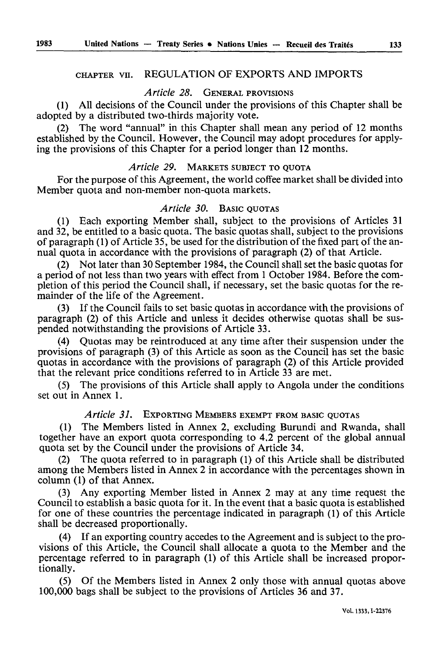# CHAPTER vu. REGULATION OF EXPORTS AND IMPORTS

#### *Article 28.* GENERAL PROVISIONS

(1) All decisions of the Council under the provisions of this Chapter shall be adopted by a distributed two-thirds majority vote.

(2) The word "annual" in this Chapter shall mean any period of 12 months established by the Council. However, the Council may adopt procedures for apply ing the provisions of this Chapter for a period longer than 12 months.

#### *Article 29.* MARKETS SUBJECT TO QUOTA

For the purpose of this Agreement, the world coffee market shall be divided into Member quota and non-member non-quota markets.

# *Article 30.* BASIC QUOTAS

(1) Each exporting Member shall, subject to the provisions of Articles 31 and 32, be entitled to a basic quota. The basic quotas shall, subject to the provisions of paragraph (1) of Article 35, be used for the distribution of the fixed part of the an nual quota in accordance with the provisions of paragraph (2) of that Article.

(2) Not later than 30 September 1984, the Council shall set the basic quotas for a period of not less than two years with effect from 1 October 1984. Before the com pletion of this period the Council shall, if necessary, set the basic quotas for the re mainder of the life of the Agreement.

(3) If the Council fails to set basic quotas in accordance with the provisions of paragraph (2) of this Article and unless it decides otherwise quotas shall be sus pended notwithstanding the provisions of Article 33.

(4) Quotas may be reintroduced at any time after their suspension under the provisions of paragraph (3) of this Article as soon as the Council has set the basic quotas in accordance with the provisions of paragraph (2) of this Article provided that the relevant price conditions referred to in Article 33 are met.

(5) The provisions of this Article shall apply to Angola under the conditions set out in Annex 1.

#### *Article 31.* EXPORTING MEMBERS EXEMPT FROM BASIC QUOTAS

(1) The Members listed in Annex 2, excluding Burundi and Rwanda, shall together have an export quota corresponding to 4.2 percent of the global annual quota set by the Council under the provisions of Article 34.

(2) The quota referred to in paragraph (1) of this Article shall be distributed among the Members listed in Annex 2 in accordance with the percentages shown in column (1) of that Annex.

(3) Any exporting Member listed in Annex 2 may at any time request the Council to establish a basic quota for it. In the event that a basic quota is established for one of these countries the percentage indicated in paragraph (1) of this Article shall be decreased proportionally.

(4) If an exporting country accedes to the Agreement and is subject to the pro visions of this Article, the Council shall allocate a quota to the Member and the percentage referred to in paragraph (1) of this Article shall be increased propor tionally.

(5) Of the Members listed in Annex 2 only those with annual quotas above 100,000 bags shall be subject to the provisions of Articles 36 and 37.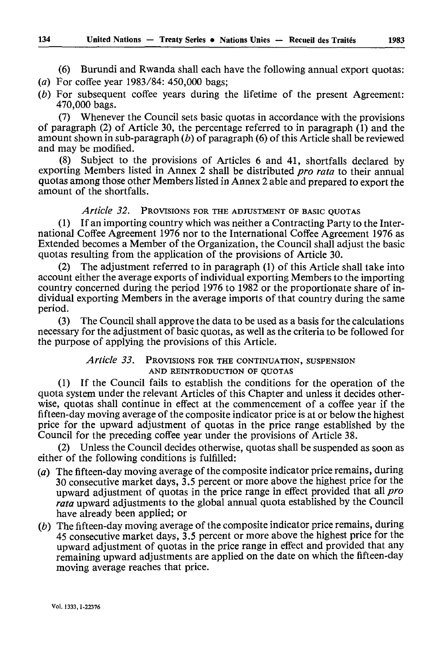(6) Burundi and Rwanda shall each have the following annual export quotas: *(a)* For coffee year 1983/84: 450,000 bags;

*(b)* For subsequent coffee years during the lifetime of the present Agreement: 470,000 bags.

(7) Whenever the Council sets basic quotas in accordance with the provisions of paragraph (2) of Article 30, the percentage referred to in paragraph (1) and the amount shown in sub-paragraph *(b)* of paragraph (6) of this Article shall be reviewed and may be modified.

(8) Subject to the provisions of Articles 6 and 41, shortfalls declared by exporting Members listed in Annex 2 shall be distributed *pro rata* to their annual quotas among those other Members listed in Annex 2 able and prepared to export the amount of the shortfalls.

#### *Article 32.* PROVISIONS FOR THE ADJUSTMENT OF BASIC QUOTAS

(1) If an importing country which was neither a Contracting Party to the Inter national Coffee Agreement 1976 nor to the International Coffee Agreement 1976 as Extended becomes a Member of the Organization, the Council shall adjust the basic quotas resulting from the application of the provisions of Article 30.

(2) The adjustment referred to in paragraph (1) of this Article shall take into account either the average exports of individual exporting Members to the importing country concerned during the period 1976 to 1982 or the proportionate share of in dividual exporting Members in the average imports of that country during the same period.

(3) The Council shall approve the data to be used as a basis for the calculations necessary for the adjustment of basic quotas, as well as the criteria to be followed for the purpose of applying the provisions of this Article.

#### *Article 33.* PROVISIONS FOR THE CONTINUATION, SUSPENSION **AND REINTRODUCTION OF QUOTAS**

(1) If the Council fails to establish the conditions for the operation of the quota system under the relevant Articles of this Chapter and unless it decides other wise, quotas shall continue in effect at the commencement of a coffee year if the fifteen-day moving average of the composite indicator price is at or below the highest price for the upward adjustment of quotas in the price range established by the Council for the preceding coffee year under the provisions of Article 38.

(2) Unless the Council decides otherwise, quotas shall be suspended as soon as either of the following conditions is fulfilled:

- *(a)* The fifteen-day moving average of the composite indicator price remains, during 30 consecutive market days, 3.5 percent or more above the highest price for the upward adjustment of quotas in the price range in effect provided that all *pro rata* upward adjustments to the global annual quota established by the Council have already been applied; or
- *(b)* The fifteen-day moving average of the composite indicator price remains, during 45 consecutive market days, 3.5 percent or more above the highest price for the upward adjustment of quotas in the price range in effect and provided that any remaining upward adjustments are applied on the date on which the fifteen-day moving average reaches that price.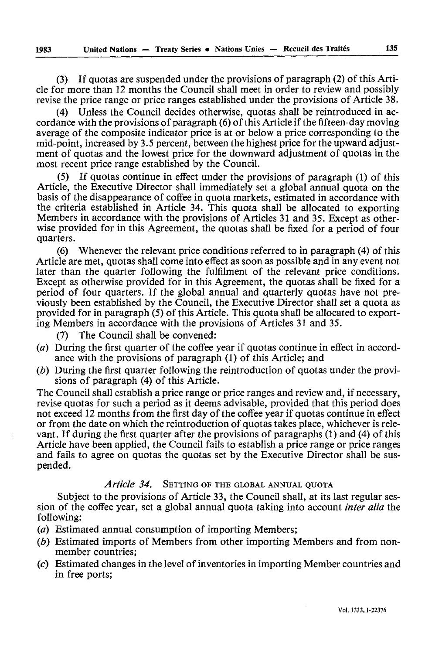(3) If quotas are suspended under the provisions of paragraph (2) of this Arti cle for more than 12 months the Council shall meet in order to review and possibly revise the price range or price ranges established under the provisions of Article 38.

(4) Unless the Council decides otherwise, quotas shall be reintroduced in ac cordance with the provisions of paragraph (6) of this Article if the fifteen-day moving average of the composite indicator price is at or below a price corresponding to the mid-point, increased by 3.5 percent, between the highest price for the upward adjust ment of quotas and the lowest price for the downward adjustment of quotas in the most recent price range established by the Council.

(5) If quotas continue in effect under the provisions of paragraph (1) of this Article, the Executive Director shall immediately set a global annual quota on the basis of the disappearance of coffee in quota markets, estimated in accordance with the criteria established in Article 34. This quota shall be allocated to exporting Members in accordance with the provisions of Articles 31 and 35. Except as other wise provided for in this Agreement, the quotas shall be fixed for a period of four quarters.

(6) Whenever the relevant price conditions referred to in paragraph (4) of this Article are met, quotas shall come into effect as soon as possible and in any event not later than the quarter following the fulfilment of the relevant price conditions. Except as otherwise provided for in this Agreement, the quotas shall be fixed for a period of four quarters. If the global annual and quarterly quotas have not pre viously been established by the Council, the Executive Director shall set a quota as provided for in paragraph (5) of this Article. This quota shall be allocated to export ing Members in accordance with the provisions of Articles 31 and 35.

(7) The Council shall be convened:

- (a) During the first quarter of the coffee year if quotas continue in effect in accord ance with the provisions of paragraph (1) of this Article; and
- *(b)* During the first quarter following the reintroduction of quotas under the provi sions of paragraph (4) of this Article.

The Council shall establish a price range or price ranges and review and, if necessary, revise quotas for such a period as it deems advisable, provided that this period does not exceed 12 months from the first day of the coffee year if quotas continue in effect or from the date on which the reintroduction of quotas takes place, whichever is rele vant. If during the first quarter after the provisions of paragraphs (1) and (4) of this Article have been applied, the Council fails to establish a price range or price ranges and fails to agree on quotas the quotas set by the Executive Director shall be sus pended.

#### *Article 34.* SETTING OF THE GLOBAL ANNUAL QUOTA

Subject to the provisions of Article 33, the Council shall, at its last regular ses sion of the coffee year, set a global annual quota taking into account *inter alia* the following:

- (a) Estimated annual consumption of importing Members;
- *(b)* Estimated imports of Members from other importing Members and from nonmember countries;
- (c) Estimated changes in the level of inventories in importing Member countries and in free ports;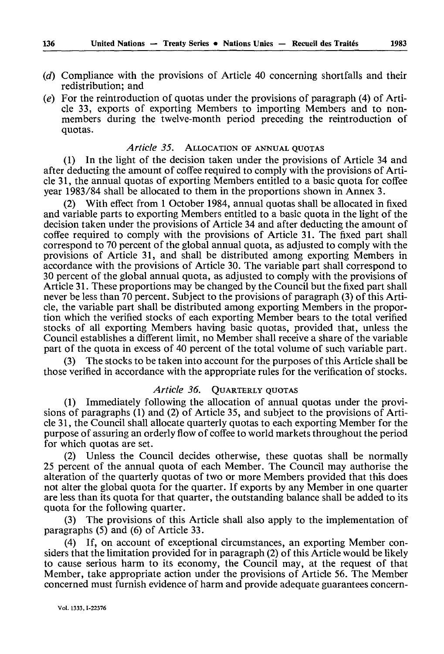- *(d)* Compliance with the provisions of Article 40 concerning shortfalls and their redistribution; and
- *(e)* For the reintroduction of quotas under the provisions of paragraph (4) of Arti cle 33, exports of exporting Members to importing Members and to nonmembers during the twelve-month period preceding the reintroduction of quotas.

## *Article 35.* ALLOCATION OF ANNUAL QUOTAS

(1) In the light of the decision taken under the provisions of Article 34 and after deducting the amount of coffee required to comply with the provisions of Arti cle 31, the annual quotas of exporting Members entitled to a basic quota for coffee year 1983/84 shall be allocated to them in the proportions shown in Annex 3.

(2) With effect from 1 October 1984, annual quotas shall be allocated in fixed and variable parts to exporting Members entitled to a basic quota in the light of the decision taken under the provisions of Article 34 and after deducting the amount of coffee required to comply with the provisions of Article 31. The fixed part shall correspond to 70 percent of the global annual quota, as adjusted to comply with the provisions of Article 31, and shall be distributed among exporting Members in accordance with the provisions of Article 30. The variable part shall correspond to 30 percent of the global annual quota, as adjusted to comply with the provisions of Article 31. These proportions may be changed by the Council but the fixed part shall never be less than 70 percent. Subject to the provisions of paragraph (3) of this Arti cle, the variable part shall be distributed among exporting Members in the propor tion which the verified stocks of each exporting Member bears to the total verified stocks of all exporting Members having basic quotas, provided that, unless the Council establishes a different limit, no Member shall receive a share of the variable part of the quota in excess of 40 percent of the total volume of such variable part.

The stocks to be taken into account for the purposes of this Article shall be those verified in accordance with the appropriate rules for the verification of stocks.

#### *Article 36.* QUARTERLY QUOTAS

(1) Immediately following the allocation of annual quotas under the provi sions of paragraphs (1) and (2) of Article 35, and subject to the provisions of Arti cle 31, the Council shall allocate quarterly quotas to each exporting Member for the purpose of assuring an orderly flow of coffee to world markets throughout the period for which quotas are set.

(2) Unless the Council decides otherwise, these quotas shall be normally 25 percent of the annual quota of each Member. The Council may authorise the alteration of the quarterly quotas of two or more Members provided that this does not alter the global quota for the quarter. If exports by any Member in one quarter are less than its quota for that quarter, the outstanding balance shall be added to its quota for the following quarter.

(3) The provisions of this Article shall also apply to the implementation of paragraphs (5) and (6) of Article 33.

(4) If, on account of exceptional circumstances, an exporting Member con siders that the limitation provided for in paragraph (2) of this Article would be likely to cause serious harm to its economy, the Council may, at the request of that Member, take appropriate action under the provisions of Article 56. The Member concerned must furnish evidence of harm and provide adequate guarantees concern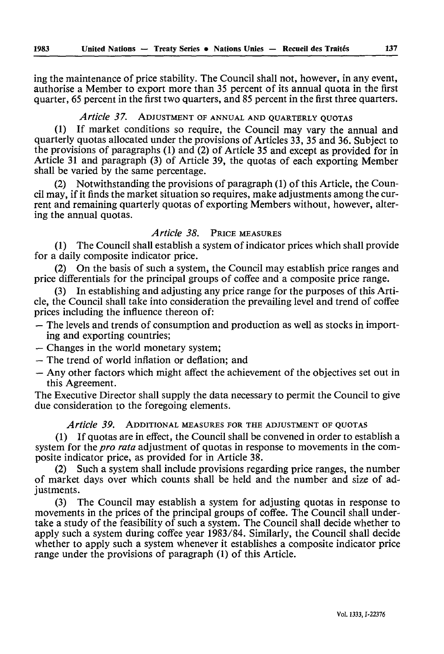ing the maintenance of price stability. The Council shall not, however, in any event, authorise a Member to export more than 35 percent of its annual quota in the first quarter, 65 percent in the first two quarters, and 85 percent in the first three quarters.

#### *Article 37.* ADJUSTMENT OF ANNUAL AND QUARTERLY QUOTAS

(1) If market conditions so require, the Council may vary the annual and quarterly quotas allocated under the provisions of Articles 33, 35 and 36. Subject to the provisions of paragraphs (1) and (2) of Article 35 and except as provided for in Article 31 and paragraph (3) of Article 39, the quotas of each exporting Member shall be varied by the same percentage.

(2) Notwithstanding the provisions of paragraph (1) of this Article, the Coun cil may, if it finds the market situation so requires, make adjustments among the cur rent and remaining quarterly quotas of exporting Members without, however, alter ing the annual quotas.

# *Article 38.* PRICE MEASURES

(1) The Council shall establish a system of indicator prices which shall provide for a daily composite indicator price.

(2) On the basis of such a system, the Council may establish price ranges and price differentials for the principal groups of coffee and a composite price range.

(3) In establishing and adjusting any price range for the purposes of this Arti cle, the Council shall take into consideration the prevailing level and trend of coffee prices including the influence thereon of:

- The levels and trends of consumption and production as well as stocks in import ing and exporting countries;
- Changes in the world monetary system;
- The trend of world inflation or deflation; and
- Any other factors which might affect the achievement of the objectives set out in this Agreement.

The Executive Director shall supply the data necessary to permit the Council to give due consideration to the foregoing elements.

#### *Article 39.* ADDITIONAL MEASURES FOR THE ADJUSTMENT OF QUOTAS

(1) If quotas are in effect, the Council shall be convened in order to establish a system for *the pro rata* adjustment of quotas in response to movements in the com posite indicator price, as provided for in Article 38.

(2) Such a system shall include provisions regarding price ranges, the number of market days over which counts shall be held and the number and size of ad justments.

(3) The Council may establish a system for adjusting quotas in response to movements in the prices of the principal groups of coffee. The Council shall under take a study of the feasibility of such a system. The Council shall decide whether to apply such a system during coffee year 1983/84. Similarly, the Council shall decide whether to apply such a system whenever it establishes a composite indicator price range under the provisions of paragraph (1) of this Article.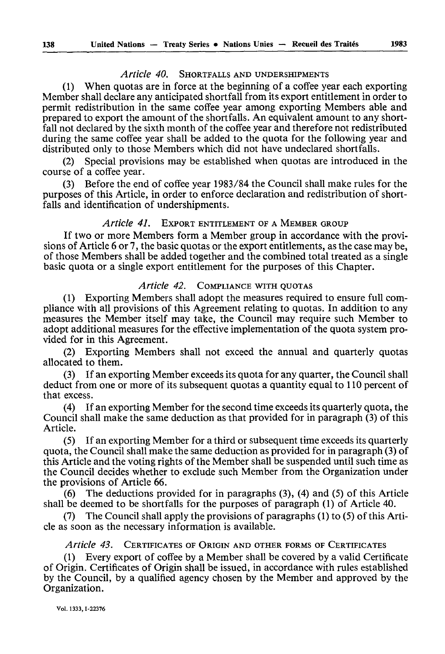#### *Article 40.* SHORTFALLS AND UNDERSHIPMENTS

(1) When quotas are in force at the beginning of a coffee year each exporting Member shall declare any anticipated shortfall from its export entitlement in order to permit redistribution in the same coffee year among exporting Members able and prepared to export the amount of the shortfalls. An equivalent amount to any short fall not declared by the sixth month of the coffee year and therefore not redistributed during the same coffee year shall be added to the quota for the following year and distributed only to those Members which did not have undeclared shortfalls.

(2) Special provisions may be established when quotas are introduced in the course of a coffee year.

(3) Before the end of coffee year 1983/84 the Council shall make rules for the purposes of this Article, in order to enforce declaration and redistribution of short falls and identification of undershipments.

# *Article 4L* EXPORT ENTITLEMENT OF A MEMBER GROUP

If two or more Members form a Member group in accordance with the provi sions of Article 6 or 7, the basic quotas or the export entitlements, as the case may be, of those Members shall be added together and the combined total treated as a single basic quota or a single export entitlement for the purposes of this Chapter.

#### *Article 42.* COMPLIANCE WITH QUOTAS

(1) Exporting Members shall adopt the measures required to ensure full com pliance with all provisions of this Agreement relating to quotas. In addition to any measures the Member itself may take, the Council may require such Member to adopt additional measures for the effective implementation of the quota system pro vided for in this Agreement.

(2) Exporting Members shall not exceed the annual and quarterly quotas allocated to them.

(3) If an exporting Member exceeds its quota for any quarter, the Council shall deduct from one or more of its subsequent quotas a quantity equal to 110 percent of that excess.

(4) If an exporting Member for the second time exceeds its quarterly quota, the Council shall make the same deduction as that provided for in paragraph (3) of this Article.

(5) If an exporting Member for a third or subsequent time exceeds its quarterly quota, the Council shall make the same deduction as provided for in paragraph (3) of this Article and the voting rights of the Member shall be suspended until such time as the Council decides whether to exclude such Member from the Organization under the provisions of Article 66.

(6) The deductions provided for in paragraphs (3), (4) and (5) of this Article shall be deemed to be shortfalls for the purposes of paragraph (1) of Article 40.

(7) The Council shall apply the provisions of paragraphs (1) to (5) of this Arti cle as soon as the necessary information is available.

#### *Article 43.* CERTIFICATES OF ORIGIN AND OTHER FORMS OF CERTIFICATES

(1) Every export of coffee by a Member shall be covered by a valid Certificate of Origin. Certificates of Origin shall be issued, in accordance with rules established by the Council, by a qualified agency chosen by the Member and approved by the Organization.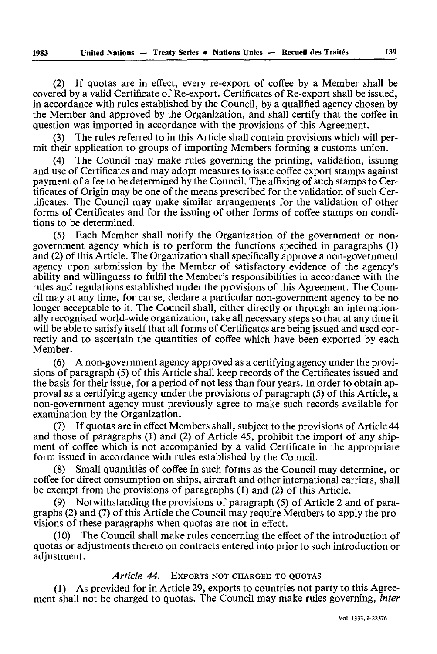(2) If quotas are in effect, every re-export of coffee by a Member shall be covered by a valid Certificate of Re-export. Certificates of Re-export shall be issued, in accordance with rules established by the Council, by a qualified agency chosen by the Member and approved by the Organization, and shall certify that the coffee in question was imported in accordance with the provisions of this Agreement.

The rules referred to in this Article shall contain provisions which will permit their application to groups of importing Members forming a customs union.

(4) The Council may make rules governing the printing, validation, issuing and use of Certificates and may adopt measures to issue coffee export stamps against payment of a fee to be determined by the Council. The affixing of such stamps to Cer tificates of Origin may be one of the means prescribed for the validation of such Cer tificates. The Council may make similar arrangements for the validation of other forms of Certificates and for the issuing of other forms of coffee stamps on condi tions to be determined.

(5) Each Member shall notify the Organization of the government or non government agency which is to perform the functions specified in paragraphs (1) and (2) of this Article. The Organization shall specifically approve a non-government agency upon submission by the Member of satisfactory evidence of the agency's ability and willingness to fulfil the Member's responsibilities in accordance with the rules and regulations established under the provisions of this Agreement. The Coun cil may at any time, for cause, declare a particular non-government agency to be no longer acceptable to it. The Council shall, either directly or through an internation ally recognised world-wide organization, take all necessary steps so that at any time it will be able to satisfy itself that all forms of Certificates are being issued and used cor rectly and to ascertain the quantities of coffee which have been exported by each Member.

(6) A non-government agency approved as a certifying agency under the provi sions of paragraph (5) of this Article shall keep records of the Certificates issued and the basis for their issue, for a period of not less than four years. In order to obtain ap proval as a certifying agency under the provisions of paragraph (5) of this Article, a non-government agency must previously agree to make such records available for examination by the Organization.

(7) If quotas are in effect Members shall, subject to the provisions of Article 44 and those of paragraphs (1) and (2) of Article 45, prohibit the import of any ship ment of coffee which is not accompanied by a valid Certificate in the appropriate form issued in accordance with rules established by the Council.

Small quantities of coffee in such forms as the Council may determine, or coffee for direct consumption on ships, aircraft and other international carriers, shall be exempt from the provisions of paragraphs (1) and (2) of this Article.

(9) Notwithstanding the provisions of paragraph (5) of Article 2 and of para graphs (2) and (7) of this Article the Council may require Members to apply the pro visions of these paragraphs when quotas are not in effect.

The Council shall make rules concerning the effect of the introduction of quotas or adjustments thereto on contracts entered into prior to such introduction or adjustment.

#### *Article 44.* EXPORTS NOT CHARGED TO QUOTAS

(1) As provided for in Article 29, exports to countries not party to this Agree ment shall not be charged to quotas. The Council may make rules governing, *inter*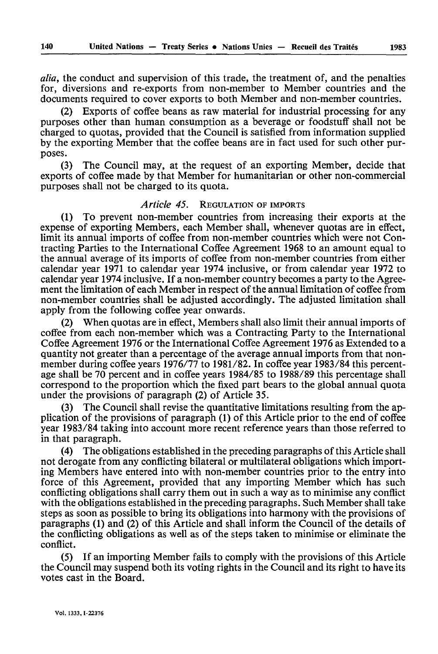*alia,* the conduct and supervision of this trade, the treatment of, and the penalties for, diversions and re-exports from non-member to Member countries and the documents required to cover exports to both Member and non-member countries.

(2) Exports of coffee beans as raw material for industrial processing for any purposes other than human consumption as a beverage or foodstuff shall not be charged to quotas, provided that the Council is satisfied from information supplied by the exporting Member that the coffee beans are in fact used for such other pur poses.

(3) The Council may, at the request of an exporting Member, decide that exports of coffee made by that Member for humanitarian or other non-commercial purposes shall not be charged to its quota.

#### *Article 45.* REGULATION OF IMPORTS

(1) To prevent non-member countries from increasing their exports at the expense of exporting Members, each Member shall, whenever quotas are in effect, limit its annual imports of coffee from non-member countries which were not Con tracting Parties to the International Coffee Agreement 1968 to an amount equal to the annual average of its imports of coffee from non-member countries from either calendar year 1971 to calendar year 1974 inclusive, or from calendar year 1972 to calendar year 1974 inclusive. If a non-member country becomes a party to the Agree ment the limitation of each Member in respect of the annual limitation of coffee from non-member countries shall be adjusted accordingly. The adjusted limitation shall apply from the following coffee year onwards.

(2) When quotas are in effect, Members shall also limit their annual imports of coffee from each non-member which was a Contracting Party to the International Coffee Agreement 1976 or the International Coffee Agreement 1976 as Extended to a quantity not greater than a percentage of the average annual imports from that nonmember during coffee years 1976/77 to 1981/82. In coffee year 1983/84 this percent age shall be 70 percent and in coffee years 1984/85 to 1988/89 this percentage shall correspond to the proportion which the fixed part bears to the global annual quota under the provisions of paragraph (2) of Article 35.

(3) The Council shall revise the quantitative limitations resulting from the ap plication of the provisions of paragraph (1) of this Article prior to the end of coffee year 1983/84 taking into account more recent reference years than those referred to in that paragraph.

(4) The obligations established in the preceding paragraphs of this Article shall not derogate from any conflicting bilateral or multilateral obligations which import ing Members have entered into with non-member countries prior to the entry into force of this Agreement, provided that any importing Member which has such conflicting obligations shall carry them out in such a way as to minimise any conflict with the obligations established in the preceding paragraphs. Such Member shall take steps as soon as possible to bring its obligations into harmony with the provisions of paragraphs (1) and (2) of this Article and shall inform the Council of the details of the conflicting obligations as well as of the steps taken to minimise or eliminate the conflict.

(5) If an importing Member fails to comply with the provisions of this Article the Council may suspend both its voting rights in the Council and its right to have its votes cast in the Board.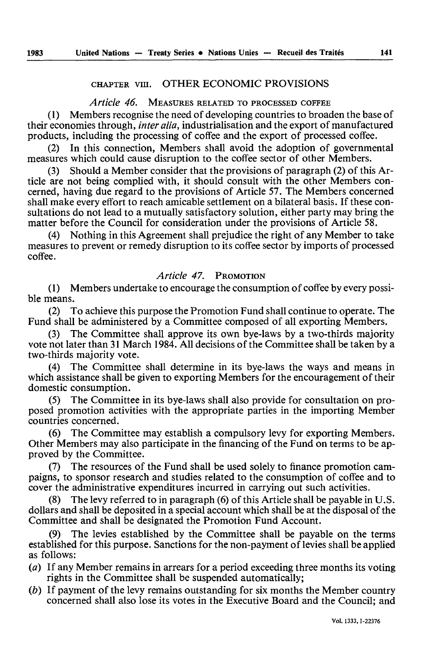#### CHAPTER VIII. OTHER ECONOMIC PROVISIONS

*Article 46.* MEASURES RELATED TO PROCESSED COFFEE

( 1 ) Members recognise the need of developing countries to broaden the base of their economies through, *inter alia,* industrialisation and the export of manufactured products, including the processing of coffee and the export of processed coffee.

(2) In this connection, Members shall avoid the adoption of governmental measures which could cause disruption to the coffee sector of other Members.

Should a Member consider that the provisions of paragraph (2) of this Article are not being complied with, it should consult with the other Members con cerned, having due regard to the provisions of Article 57. The Members concerned shall make every effort to reach amicable settlement on a bilateral basis. If these con sultations do not lead to a mutually satisfactory solution, either party may bring the matter before the Council for consideration under the provisions of Article 58.

(4) Nothing in this Agreement shall prejudice the right of any Member to take measures to prevent or remedy disruption to its coffee sector by imports of processed coffee.

#### *Article 47.* PROMOTION

(1) Members undertake to encourage the consumption of coffee by every possi ble means.

(2) To achieve this purpose the Promotion Fund shall continue to operate. The Fund shall be administered by a Committee composed of all exporting Members.

(3) The Committee shall approve its own bye-laws by a two-thirds majority vote not later than 31 March 1984. All decisions of the Committee shall be taken by a two-thirds majority vote.

(4) The Committee shall determine in its bye-laws the ways and means in which assistance shall be given to exporting Members for the encouragement of their domestic consumption.

(5) The Committee in its bye-laws shall also provide for consultation on pro posed promotion activities with the appropriate parties in the importing Member countries concerned.

(6) The Committee may establish a compulsory levy for exporting Members. Other Members may also participate in the financing of the Fund on terms to be ap proved by the Committee.

(7) The resources of the Fund shall be used solely to finance promotion cam paigns, to sponsor research and studies related to the consumption of coffee and to cover the administrative expenditures incurred in carrying out such activities.

The levy referred to in paragraph (6) of this Article shall be payable in U.S. dollars and shall be deposited in a special account which shall be at the disposal of the Committee and shall be designated the Promotion Fund Account.

The levies established by the Committee shall be payable on the terms established for this purpose. Sanctions for the non-payment of levies shall be applied as follows:

- (a) If any Member remains in arrears for a period exceeding three months its voting rights in the Committee shall be suspended automatically;
- *(b)* If payment of the levy remains outstanding for six months the Member country concerned shall also lose its votes in the Executive Board and the Council; and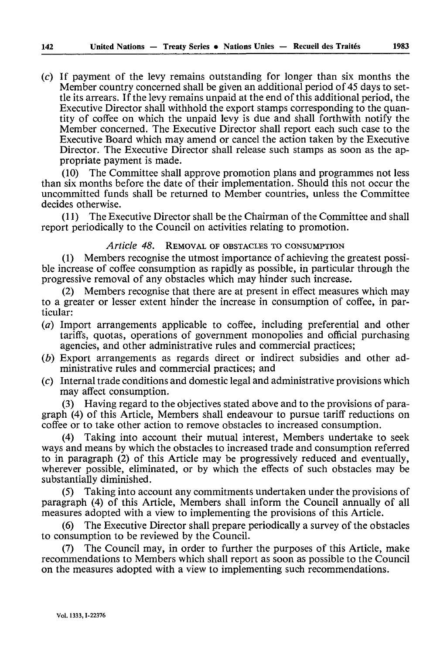*(c)* If payment of the levy remains outstanding for longer than six months the Member country concerned shall be given an additional period of 45 days to set tle its arrears. If the levy remains unpaid at the end of this additional period, the Executive Director shall withhold the export stamps corresponding to the quan tity of coffee on which the unpaid levy is due and shall forthwith notify the Member concerned. The Executive Director shall report each such case to the Executive Board which may amend or cancel the action taken by the Executive Director. The Executive Director shall release such stamps as soon as the ap propriate payment is made.

(10) The Committee shall approve promotion plans and programmes not less than six months before the date of their implementation. Should this not occur the uncommitted funds shall be returned to Member countries, unless the Committee decides otherwise.

(11) The Executive Director shall be the Chairman of the Committee and shall report periodically to the Council on activities relating to promotion.

#### *Article 48.* REMOVAL OF OBSTACLES TO CONSUMPTION

(1) Members recognise the utmost importance of achieving the greatest possi ble increase of coffee consumption as rapidly as possible, in particular through the progressive removal of any obstacles which may hinder such increase.

(2) Members recognise that there are at present in effect measures which may to a greater or lesser extent hinder the increase in consumption of coffee, in par ticular:

- *(a)* Import arrangements applicable to coffee, including preferential and other tariffs, quotas, operations of government monopolies and official purchasing agencies, and other administrative rules and commercial practices;
- ( $b$ ) Export arrangements as regards direct or indirect subsidies and other administrative rules and commercial practices; and
- (c) Internal trade conditions and domestic legal and administrative provisions which may affect consumption.

(3) Having regard to the objectives stated above and to the provisions of para graph (4) of this Article, Members shall endeavour to pursue tariff reductions on coffee or to take other action to remove obstacles to increased consumption.

(4) Taking into account their mutual interest, Members undertake to seek ways and means by which the obstacles to increased trade and consumption referred to in paragraph (2) of this Article may be progressively reduced and eventually, wherever possible, eliminated, or by which the effects of such obstacles may be substantially diminished.

(5) Taking into account any commitments undertaken under the provisions of paragraph (4) of this Article, Members shall inform the Council annually of all measures adopted with a view to implementing the provisions of this Article.

(6) The Executive Director shall prepare periodically a survey of the obstacles to consumption to be reviewed by the Council.

(7) The Council may, in order to further the purposes of this Article, make recommendations to Members which shall report as soon as possible to the Council on the measures adopted with a view to implementing such recommendations.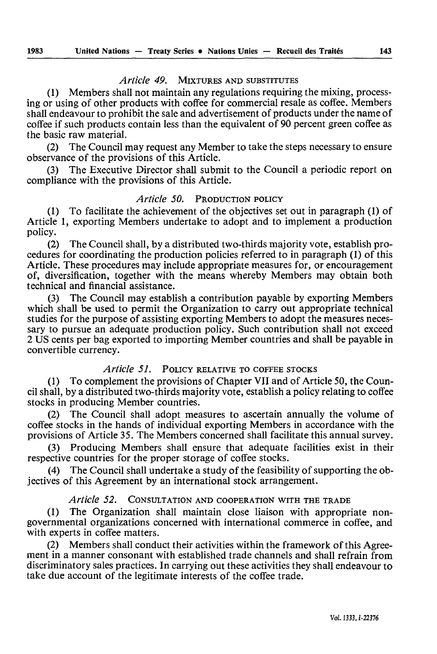# *Article 49.* MIXTURES AND SUBSTITUTES

(1) Members shall not maintain any regulations requiring the mixing, process ing or using of other products with coffee for commercial resale as coffee. Members shall endeavour to prohibit the sale and advertisement of products under the name of coffee if such products contain less than the equivalent of 90 percent green coffee as the basic raw material.

(2) The Council may request any Member to take the steps necessary to ensure observance of the provisions of this Article.

The Executive Director shall submit to the Council a periodic report on compliance with the provisions of this Article.

#### *Article 50.* PRODUCTION POLICY

(1) To facilitate the achievement of the objectives set out in paragraph (1) of Article 1, exporting Members undertake to adopt and to implement a production policy.

(2) The Council shall, by a distributed two-thirds majority vote, establish pro cedures for coordinating the production policies referred to in paragraph (1) of this Article. These procedures may include appropriate measures for, or encouragement of, diversification, together with the means whereby Members may obtain both technical and financial assistance.

(3) The Council may establish a contribution payable by exporting Members which shall be used to permit the Organization to carry out appropriate technical studies for the purpose of assisting exporting Members to adopt the measures neces sary to pursue an adequate production policy. Such contribution shall not exceed 2 US cents per bag exported to importing Member countries and shall be payable in convertible currency.

#### *Article 51.* POLICY RELATIVE TO COFFEE STOCKS

( 1 ) To complement the provisions of Chapter VII and of Article 50, the Coun cil shall, by a distributed two-thirds majority vote, establish a policy relating to coffee stocks in producing Member countries.

(2) The Council shall adopt measures to ascertain annually the volume of coffee stocks in the hands of individual exporting Members in accordance with the provisions of Article 35. The Members concerned shall facilitate this annual survey.

(3) Producing Members shall ensure that adequate facilities exist in their respective countries for the proper storage of coffee stocks.

(4) The Council shall undertake a study of the feasibility of supporting the ob jectives of this Agreement by an international stock arrangement.

#### *Article 52.* CONSULTATION AND COOPERATION WITH THE TRADE

(1) The Organization shall maintain close liaison with appropriate non governmental organizations concerned with international commerce in coffee, and with experts in coffee matters.

(2) Members shall conduct their activities within the framework of this Agree ment in a manner consonant with established trade channels and shall refrain from discriminatory sales practices. In carrying out these activities they shall endeavour to take due account of the legitimate interests of the coffee trade.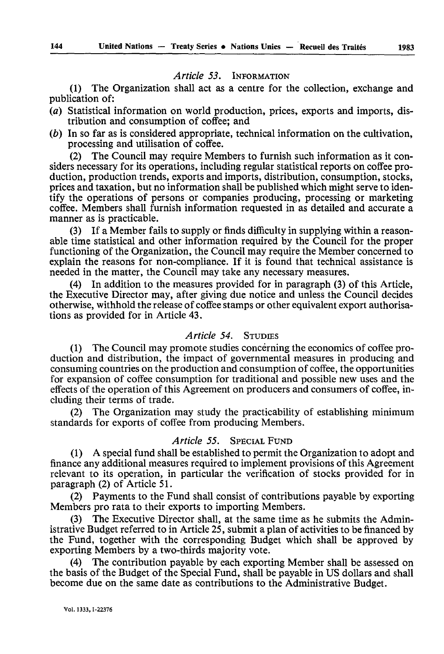#### *Article 53.* INFORMATION

(1) The Organization shall act as a centre for the collection, exchange and publication of:

- *(a)* Statistical information on world production, prices, exports and imports, dis tribution and consumption of coffee; and
- (6) In so far as is considered appropriate, technical information on the cultivation, processing and utilisation of coffee.

(2) The Council may require Members to furnish such information as it con siders necessary for its operations, including regular statistical reports on coffee pro duction, production trends, exports and imports, distribution, consumption, stocks, prices and taxation, but no information shall be published which might serve to iden tify the operations of persons or companies producing, processing or marketing coffee. Members shall furnish information requested in as detailed and accurate a manner as is practicable.

(3) If a Member fails to supply or finds difficulty in supplying within a reason able time statistical and other information required by the Council for the proper functioning of the Organization, the Council may require the Member concerned to explain the reasons for non-compliance. If it is found that technical assistance is needed in the matter, the Council may take any necessary measures.

(4) In addition to the measures provided for in paragraph (3) of this Article, the Executive Director may, after giving due notice and unless the Council decides otherwise, withhold the release of coffee stamps or other equivalent export authorisa tions as provided for in Article 43.

#### *Article 54.* STUDIES

(1) The Council may promote studies concerning the economics of coffee pro duction and distribution, the impact of governmental measures in producing and consuming countries on the production and consumption of coffee, the opportunities for expansion of coffee consumption for traditional and possible new uses and the effects of the operation of this Agreement on producers and consumers of coffee, in cluding their terms of trade.

(2) The Organization may study the practicability of establishing minimum standards for exports of coffee from producing Members.

#### *Article 55.* SPECIAL FUND

(1) A special fund shall be established to permit the Organization to adopt and finance any additional measures required to implement provisions of this Agreement relevant to its operation, in particular the verification of stocks provided for in paragraph (2) of Article 51.

(2) Payments to the Fund shall consist of contributions payable by exporting Members pro rata to their exports to importing Members.

The Executive Director shall, at the same time as he submits the Administrative Budget referred to in Article 25, submit a plan of activities to be financed by the Fund, together with the corresponding Budget which shall be approved by exporting Members by a two-thirds majority vote.

The contribution payable by each exporting Member shall be assessed on the basis of the Budget of the Special Fund, shall be payable in US dollars and shall become due on the same date as contributions to the Administrative Budget.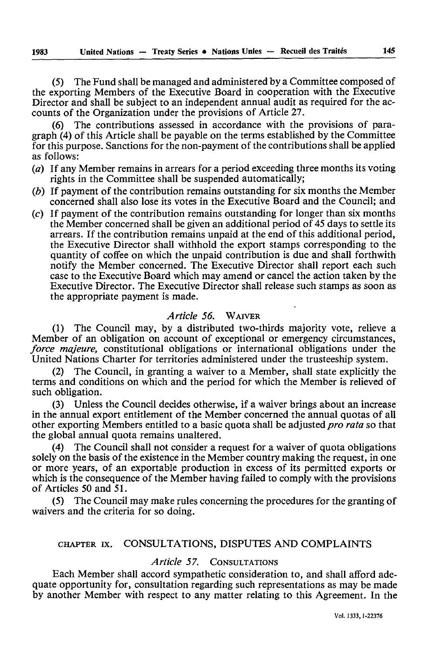(5) The Fund shall be managed and administered by a Committee composed of the exporting Members of the Executive Board in cooperation with the Executive Director and shall be subject to an independent annual audit as required for the accounts of the Organization under the provisions of Article 27.

(6) The contributions assessed in accordance with the provisions of para graph (4) of this Article shall be payable on the terms established by the Committee for this purpose. Sanctions for the non-payment of the contributions shall be applied as follows:

- *(a)* If any Member remains in arrears for a period exceeding three months its voting rights in the Committee shall be suspended automatically;
- *(b)* If payment of the contribution remains outstanding for six months the Member concerned shall also lose its votes in the Executive Board and the Council; and
- (c) If payment of the contribution remains outstanding for longer than six months the Member concerned shall be given an additional period of 45 days to settle its arrears. If the contribution remains unpaid at the end of this additional period, the Executive Director shall withhold the export stamps corresponding to the quantity of coffee on which the unpaid contribution is due and shall forthwith notify the Member concerned. The Executive Director shall report each such case to the Executive Board which may amend or cancel the action taken by the Executive Director. The Executive Director shall release such stamps as soon as the appropriate payment is made.

# *Article 56.* WAIVER

(1) The Council may, by a distributed two-thirds majority vote, relieve a Member of an obligation on account of exceptional or emergency circumstances, *force majeure,* constitutional obligations or international obligations under the United Nations Charter for territories administered under the trusteeship system.

(2) The Council, in granting a waiver to a Member, shall state explicitly the terms and conditions on which and the period for which the Member is relieved of such obligation.

(3) Unless the Council decides otherwise, if a waiver brings about an increase in the annual export entitlement of the Member concerned the annual quotas of all other exporting Members entitled to a basic quota shall be adjusted *pro rata* so that the global annual quota remains unaltered.

(4) The Council shall not consider a request for a waiver of quota obligations solely on the basis of the existence in the Member country making the request, in one or more years, of an exportable production in excess of its permitted exports or which is the consequence of the Member having failed to comply with the provisions of Articles 50 and 51.

(5) The Council may make rules concerning the procedures for the granting of waivers and the criteria for so doing.

#### CHAPTER ix. CONSULTATIONS, DISPUTES AND COMPLAINTS

# *Article 57.* CONSULTATIONS

Each Member shall accord sympathetic consideration to, and shall afford ade quate opportunity for, consultation regarding such representations as may be made by another Member with respect to any matter relating to this Agreement. In the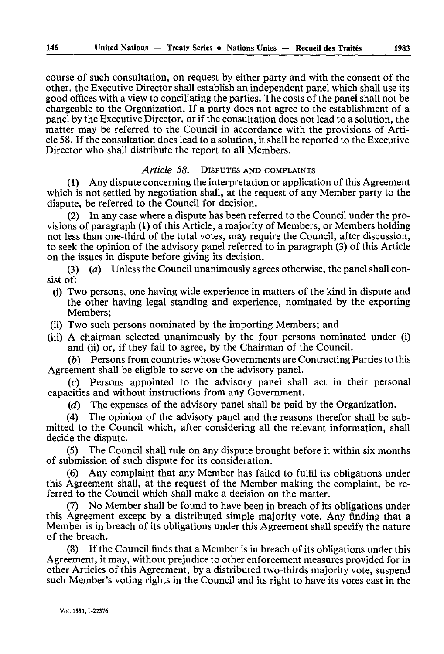course of such consultation, on request by either party and with the consent of the other, the Executive Director shall establish an independent panel which shall use its good offices with a view to conciliating the parties. The costs of the panel shall not be chargeable to the Organization. If a party does not agree to the establishment of a panel by the Executive Director, or if the consultation does not lead to a solution, the matter may be referred to the Council in accordance with the provisions of Arti cle 58. If the consultation does lead to a solution, it shall be reported to the Executive Director who shall distribute the report to all Members.

#### *Article 58.* DISPUTES AND COMPLAINTS

(1) Any dispute concerning the interpretation or application of this Agreement which is not settled by negotiation shall, at the request of any Member party to the dispute, be referred to the Council for decision.

In any case where a dispute has been referred to the Council under the provisions of paragraph (1) of this Article, a majority of Members, or Members holding not less than one-third of the total votes, may require the Council, after discussion, to seek the opinion of the advisory panel referred to in paragraph (3) of this Article on the issues in dispute before giving its decision.

(3) (a) Unless the Council unanimously agrees otherwise, the panel shall consist of:

- (i) Two persons, one having wide experience in matters of the kind in dispute and the other having legal standing and experience, nominated by the exporting Members;
- (ii) Two such persons nominated by the importing Members; and
- (iii) A chairman selected unanimously by the four persons nominated under (i) and (ii) or, if they fail to agree, by the Chairman of the Council.

*(b)* Persons from countries whose Governments are Contracting Parties to this Agreement shall be eligible to serve on the advisory panel.

*(c)* Persons appointed to the advisory panel shall act in their personal capacities and without instructions from any Government.

*(d)* The expenses of the advisory panel shall be paid by the Organization.

(4) The opinion of the advisory panel and the reasons therefor shall be sub mitted to the Council which, after considering all the relevant information, shall decide the dispute.

(5) The Council shall rule on any dispute brought before it within six months of submission of such dispute for its consideration.

Any complaint that any Member has failed to fulfil its obligations under this Agreement shall, at the request of the Member making the complaint, be re ferred to the Council which shall make a decision on the matter.

(7) No Member shall be found to have been in breach of its obligations under this Agreement except by a distributed simple majority vote. Any finding that a Member is in breach of its obligations under this Agreement shall specify the nature of the breach.

(8) If the Council finds that a Member is in breach of its obligations under this Agreement, it may, without prejudice to other enforcement measures provided for in other Articles of this Agreement, by a distributed two-thirds majority vote, suspend such Member's voting rights in the Council and its right to have its votes cast in the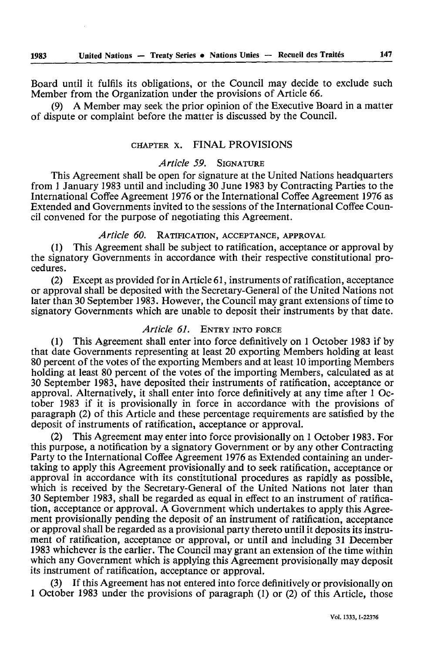Board until it fulfils its obligations, or the Council may decide to exclude such Member from the Organization under the provisions of Article 66.

(9) A Member may seek the prior opinion of the Executive Board in a matter of dispute or complaint before the matter is discussed by the Council.

#### CHAPTER x. FINAL PROVISIONS

#### *Article 59.* SIGNATURE

This Agreement shall be open for signature at the United Nations headquarters from 1 January 1983 until and including 30 June 1983 by Contracting Parties to the International Coffee Agreement 1976 or the International Coffee Agreement 1976 as Extended and Governments invited to the sessions of the International Coffee Coun cil convened for the purpose of negotiating this Agreement.

# *Article 60.* RATIFICATION, ACCEPTANCE, APPROVAL

(1) This Agreement shall be subject to ratification, acceptance or approval by the signatory Governments in accordance with their respective constitutional pro cedures.

(2) Except as provided for in Article 61, instruments of ratification, acceptance or approval shall be deposited with the Secretary-General of the United Nations not later than 30 September 1983. However, the Council may grant extensions of time to signatory Governments which are unable to deposit their instruments by that date.

#### *Article 61.* ENTRY INTO FORCE

(1) This Agreement shall enter into force definitively on 1 October 1983 if by that date Governments representing at least 20 exporting Members holding at least 80 percent of the votes of the exporting Members and at least 10 importing Members holding at least 80 percent of the votes of the importing Members, calculated as at 30 September 1983, have deposited their instruments of ratification, acceptance or approval. Alternatively, it shall enter into force definitively at any time after 1 Oc tober 1983 if it is provisionally in force in accordance with the provisions of paragraph (2) of this Article and these percentage requirements are satisfied by the deposit of instruments of ratification, acceptance or approval.

(2) This Agreement may enter into force provisionally on 1 October 1983. For this purpose, a notification by a signatory Government or by any other Contracting Party to the International Coffee Agreement 1976 as Extended containing an under taking to apply this Agreement provisionally and to seek ratification, acceptance or approval in accordance with its constitutional procedures as rapidly as possible, which is received by the Secretary-General of the United Nations not later than 30 September 1983, shall be regarded as equal in effect to an instrument of ratifica tion, acceptance or approval. A Government which undertakes to apply this Agree ment provisionally pending the deposit of an instrument of ratification, acceptance or approval shall be regarded as a provisional party thereto until it deposits its instru ment of ratification, acceptance or approval, or until and including 31 December 1983 whichever is the earlier. The Council may grant an extension of the time within which any Government which is applying this Agreement provisionally may deposit its instrument of ratification, acceptance or approval.

(3) If this Agreement has not entered into force definitively or provisionally on 1 October 1983 under the provisions of paragraph (1) or (2) of this Article, those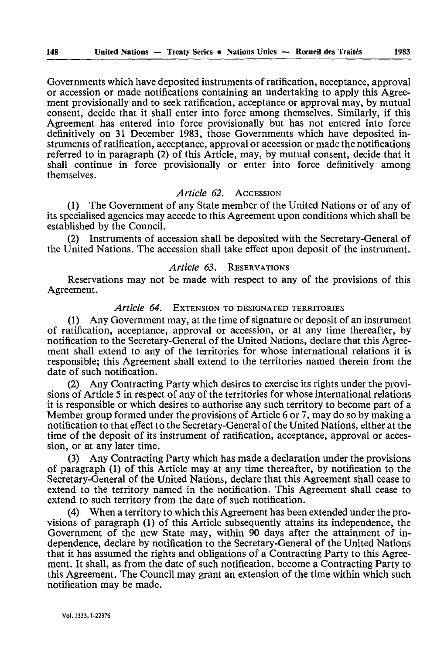Governments which have deposited instruments of ratification, acceptance, approval or accession or made notifications containing an undertaking to apply this Agree ment provisionally and to seek ratification, acceptance or approval may, by mutual consent, decide that it shall enter into force among themselves. Similarly, if this Agreement has entered into force provisionally but has not entered into force definitively on 31 December 1983, those Governments which have deposited in struments of ratification, acceptance, approval or accession or made the notifications referred to in paragraph (2) of this Article, may, by mutual consent, decide that it shall continue in force provisionally or enter into force definitively among themselves.

#### *Article 62.* ACCESSION

(1) The Government of any State member of the United Nations or of any of its specialised agencies may accede to this Agreement upon conditions which shall be established by the Council.

(2) Instruments of accession shall be deposited with the Secretary-General of the United Nations. The accession shall take effect upon deposit of the instrument.

#### *Article 63.* RESERVATIONS

Reservations may not be made with respect to any of the provisions of this Agreement.

#### *Article 64.* EXTENSION TO DESIGNATED TERRITORIES

(1) Any Government may, at the time of signature or deposit of an instrument of ratification, acceptance, approval or accession, or at any time thereafter, by notification to the Secretary-General of the United Nations, declare that this Agree ment shall extend to any of the territories for whose international relations it is responsible; this Agreement shall extend to the territories named therein from the date of such notification.

(2) Any Contracting Party which desires to exercise its rights under the provi sions of Article 5 in respect of any of the territories for whose international relations it is responsible or which desires to authorise any such territory to become part of a Member group formed under the provisions of Article 6 or 7, may do so by making a notification to that effect to the Secretary-General of the United Nations, either at the time of the deposit of its instrument of ratification, acceptance, approval or acces sion, or at any later time.

(3) Any Contracting Party which has made a declaration under the provisions of paragraph (1) of this Article may at any time thereafter, by notification to the Secretary-General of the United Nations, declare that this Agreement shall cease to extend to the territory named in the notification. This Agreement shall cease to extend to such territory from the date of such notification.

(4) When a territory to which this Agreement has been extended under the pro visions of paragraph (1) of this Article subsequently attains its independence, the Government of the new State may, within 90 days after the attainment of in dependence, declare by notification to the Secretary-General of the United Nations that it has assumed the rights and obligations of a Contracting Party to this Agree ment. It shall, as from the date of such notification, become a Contracting Party to this Agreement. The Council may grant an extension of the time within which such notification may be made.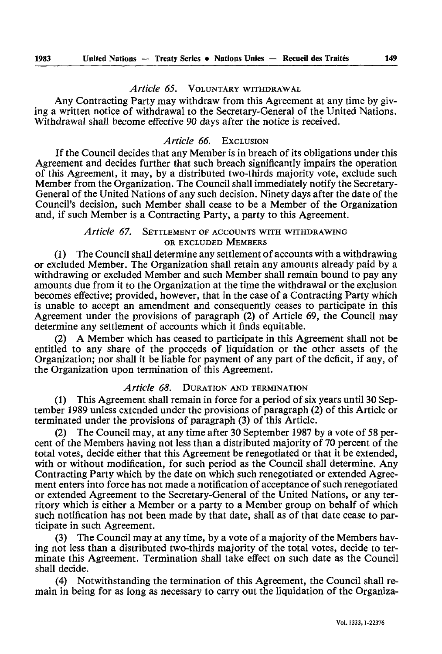#### *Article 65.* VOLUNTARY WITHDRAWAL

Any Contracting Party may withdraw from this Agreement at any time by giv ing a written notice of withdrawal to the Secretary-General of the United Nations. Withdrawal shall become effective 90 days after the notice is received.

#### *Article 66.* EXCLUSION

If the Council decides that any Member is in breach of its obligations under this Agreement and decides further that such breach significantly impairs the operation of this Agreement, it may, by a distributed two-thirds majority vote, exclude such Member from the Organization. The Council shall immediately notify the Secretary-General of the United Nations of any such decision. Ninety days after the date of the Council's decision, such Member shall cease to be a Member of the Organization and, if such Member is a Contracting Party, a party to this Agreement.

#### *Article 67.* SETTLEMENT OF ACCOUNTS WITH WITHDRAWING OR EXCLUDED MEMBERS

(1) The Council shall determine any settlement of accounts with a withdrawing or excluded Member. The Organization shall retain any amounts already paid by a withdrawing or excluded Member and such Member shall remain bound to pay any amounts due from it to the Organization at the time the withdrawal or the exclusion becomes effective; provided, however, that in the case of a Contracting Party which is unable to accept an amendment and consequently ceases to participate in this Agreement under the provisions of paragraph (2) of Article 69, the Council may determine any settlement of accounts which it finds equitable.

(2) A Member which has ceased to participate in this Agreement shall not be entitled to any share of the proceeds of liquidation or the other assets of the Organization; nor shall it be liable for payment of any part of the deficit, if any, of the Organization upon termination of this Agreement.

#### *Article 68.* DURATION AND TERMINATION

(1) This Agreement shall remain in force for a period of six years until 30 Sep tember 1989 unless extended under the provisions of paragraph (2) of this Article or terminated under the provisions of paragraph (3) of this Article.

The Council may, at any time after 30 September 1987 by a vote of 58 percent of the Members having not less than a distributed majority of 70 percent of the total votes, decide either that this Agreement be renegotiated or that it be extended, with or without modification, for such period as the Council shall determine. Any Contracting Party which by the date on which such renegotiated or extended Agree ment enters into force has not made a notification of acceptance of such renegotiated or extended Agreement to the Secretary-General of the United Nations, or any ter ritory which is either a Member or a party to a Member group on behalf of which such notification has not been made by that date, shall as of that date cease to par ticipate in such Agreement.

(3) The Council may at any time, by a vote of a majority of the Members hav ing not less than a distributed two-thirds majority of the total votes, decide to ter minate this Agreement. Termination shall take effect on such date as the Council shall decide.

(4) Notwithstanding the termination of this Agreement, the Council shall re main in being for as long as necessary to carry out the liquidation of the Organiza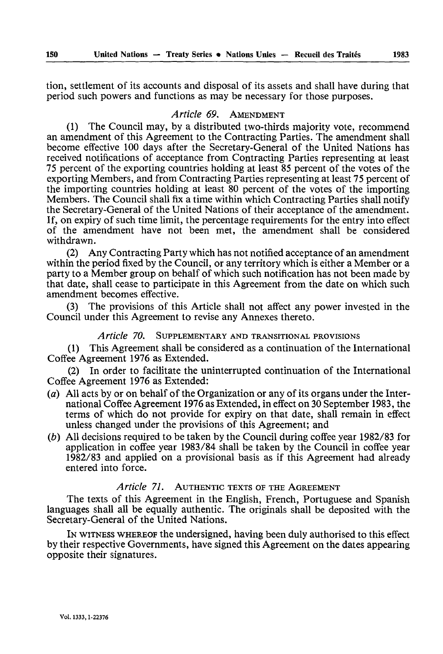tion, settlement of its accounts and disposal of its assets and shall have during that period such powers and functions as may be necessary for those purposes.

#### *Article 69.* AMENDMENT

(1) The Council may, by a distributed two-thirds majority vote, recommend an amendment of this Agreement to the Contracting Parties. The amendment shall become effective 100 days after the Secretary-General of the United Nations has received notifications of acceptance from Contracting Parties representing at least 75 percent of the exporting countries holding at least 85 percent of the votes of the exporting Members, and from Contracting Parties representing at least 75 percent of the importing countries holding at least 80 percent of the votes of the importing Members. The Council shall fix a time within which Contracting Parties shall notify the Secretary-General of the United Nations of their acceptance of the amendment. If, on expiry of such time limit, the percentage requirements for the entry into effect of the amendment have not been met, the amendment shall be considered withdrawn.

(2) Any Contracting Party which has not notified acceptance of an amendment within the period fixed by the Council, or any territory which is either a Member or a party to a Member group on behalf of which such notification has not been made by that date, shall cease to participate in this Agreement from the date on which such amendment becomes effective.

(3) The provisions of this Article shall not affect any power invested in the Council under this Agreement to revise any Annexes thereto.

#### *Article 70.* SUPPLEMENTARY AND TRANSITIONAL PROVISIONS

(1) This Agreement shall be considered as a continuation of the International Coffee Agreement 1976 as Extended.

(2) In order to facilitate the uninterrupted continuation of the International Coffee Agreement 1976 as Extended:

- (a) All acts by or on behalf of the Organization or any of its organs under the Inter national Coffee Agreement 1976 as Extended, in effect on 30 September 1983, the terms of which do not provide for expiry on that date, shall remain in effect unless changed under the provisions of this Agreement; and
- *(b)* All decisions required to be taken by the Council during coffee year 1982/83 for application in coffee year 1983/84 shall be taken by the Council in coffee year 1982/83 and applied on a provisional basis as if this Agreement had already entered into force.

## *Article 71.* AUTHENTIC TEXTS OF THE AGREEMENT

The texts of this Agreement in the English, French, Portuguese and Spanish languages shall all be equally authentic. The originals shall be deposited with the Secretary-General of the United Nations.

IN WITNESS WHEREOF the undersigned, having been duly authorised to this effect by their respective Governments, have signed this Agreement on the dates appearing opposite their signatures.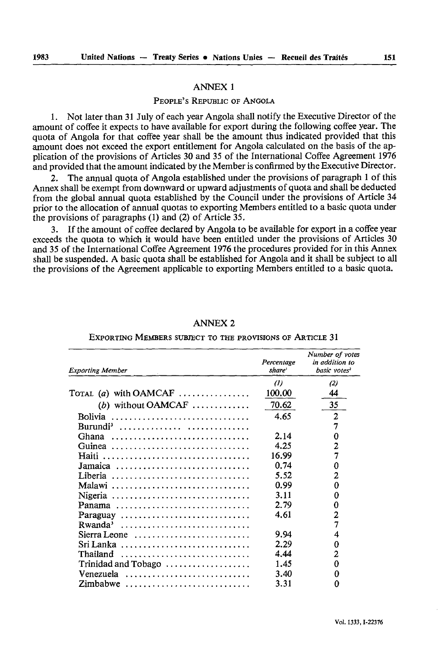#### ANNEX 1

#### PEOPLE'S REPUBLIC OF ANGOLA

1. Not later than 31 July of each year Angola shall notify the Executive Director of the amount of coffee it expects to have available for export during the following coffee year. The quota of Angola for that coffee year shall be the amount thus indicated provided that this amount does not exceed the export entitlement for Angola calculated on the basis of the ap plication of the provisions of Articles 30 and 35 of the International Coffee Agreement 1976 and provided that the amount indicated by the Member is confirmed by the Executive Director.

2. The annual quota of Angola established under the provisions of paragraph 1 of this Annex shall be exempt from downward or upward adjustments of quota and shall be deducted from the global annual quota established by the Council under the provisions of Article 34 prior to the allocation of annual quotas to exporting Members entitled to a basic quota under the provisions of paragraphs (1) and (2) of Article 35.

3. If the amount of coffee declared by Angola to be available for export in a coffee year exceeds the quota to which it would have been entitled under the provisions of Articles 30 and 35 of the International Coffee Agreement 1976 the procedures provided for in this Annex shall be suspended. A basic quota shall be established for Angola and it shall be subject to all the provisions of the Agreement applicable to exporting Members entitled to a basic quota.

| <b>Exporting Member</b>                                       | Percentage<br>share' | Number of votes<br>in addition to<br>basic votes <sup>2</sup> |
|---------------------------------------------------------------|----------------------|---------------------------------------------------------------|
|                                                               | $\omega$             | (2)                                                           |
| TOTAL $(a)$ with OAMCAF                                       | 100.00               | 44                                                            |
| (b) without $OAMCAF$                                          | 70.62                | 35                                                            |
| <b>Bolivia</b>                                                | 4.65                 | $\overline{2}$                                                |
| Burundi <sup>3</sup>                                          |                      |                                                               |
| Ghana                                                         | 2.14                 | 0                                                             |
| Guinea                                                        | 4.25                 | 2                                                             |
|                                                               | 16.99                |                                                               |
| Jamaica                                                       | 0.74                 | 0                                                             |
| Liberia                                                       | 5.52                 | 2                                                             |
| Malawi                                                        | 0.99                 | 0                                                             |
| Nigeria                                                       | 3.11                 | 0                                                             |
| Panama                                                        | 2.79                 | 0                                                             |
| Paraguay                                                      | 4.61                 | $\overline{2}$                                                |
| Rwanda <sup>3</sup>                                           |                      | 7                                                             |
| Sierra Leone                                                  | 9.94                 | 4                                                             |
| Sri Lanka                                                     | 2.29                 | 0                                                             |
| Thailand                                                      | 4.44                 | 2                                                             |
| $Triindad$ and $Tobago$ $\dots\dots\dots\dots\dots\dots\dots$ | 1.45                 | 0                                                             |
| Venezuela                                                     | 3.40                 | 0                                                             |
| Zimbabwe                                                      | 3.31                 | 0                                                             |

#### ANNEX 2

#### EXPORTING MEMBERS SUBJECT TO THE PROVISIONS OF ARTICLE 31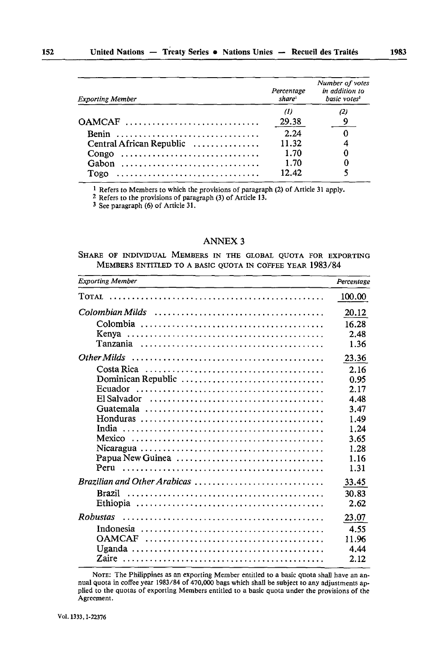| <b>Exporting Member</b>                         | Percentage<br>share <sup>1</sup> | Number of votes<br>in addition to<br>basic votes <sup>2</sup> |
|-------------------------------------------------|----------------------------------|---------------------------------------------------------------|
|                                                 | $\omega$                         | $^{(2)}$                                                      |
|                                                 | 29.38                            | - 9                                                           |
| Benin ,,,,,,,,,,,,,,,,,,,,,,,,,,,,,,,           | 2.24                             | $\Omega$                                                      |
| Central African Republic $\dots\dots\dots\dots$ | 11.32                            | 4                                                             |
| Congo                                           | 1.70                             | 0                                                             |
| Gabon                                           | 1.70                             |                                                               |
| Togo                                            | 12.42                            |                                                               |

1 Refers to Members to which the provisions of paragraph (2) of Article 31 apply.

2 Refers to the provisions of paragraph (3) of Article 13.

3 See paragraph (6) of Article 31.

#### ANNEX 3

SHARE OF INDIVIDUAL MEMBERS IN THE GLOBAL QUOTA FOR EXPORTING MEMBERS ENTITLED TO A BASIC QUOTA IN COFFEE YEAR 1983/84

| <b>Exporting Member</b>                                                                   | Percentage |
|-------------------------------------------------------------------------------------------|------------|
| Total.                                                                                    | 100.00     |
| Colombian Milds                                                                           | 20.12      |
|                                                                                           | 16.28      |
| Kenva                                                                                     | 2.48       |
| Tanzania                                                                                  | 1.36       |
| Other Milds                                                                               | 23.36      |
| Costa Rica $\ldots \ldots \ldots \ldots \ldots \ldots \ldots \ldots \ldots \ldots \ldots$ | 2.16       |
| Dominican Republic                                                                        | 0.95       |
| Ecuador                                                                                   | 2.17       |
| El Salvador                                                                               | 4.48       |
|                                                                                           | 3.47       |
|                                                                                           | 1.49       |
|                                                                                           | 1.24       |
|                                                                                           | 3.65       |
|                                                                                           | 1.28       |
|                                                                                           | 1.16       |
| Peru                                                                                      | 1.31       |
| Brazilian and Other Arabicas                                                              | 33.45      |
| Brazil                                                                                    | 30.83      |
|                                                                                           | 2.62       |
| Robustas                                                                                  | 23.07      |
| Indonesia                                                                                 | 4.55       |
| <b>OAMCAF</b>                                                                             | 11.96      |
|                                                                                           | 4.44       |
| Zaire                                                                                     | 2.12       |

NOTE: The Philippines as an exporting Member entitled to a basic quota shall have an an nual quota in coffee year 1983/84 of 470,000 bags which shall be subject to any adjustments ap plied to the quotas of exporting Members entitled to a basic quota under the provisions of the Agreement.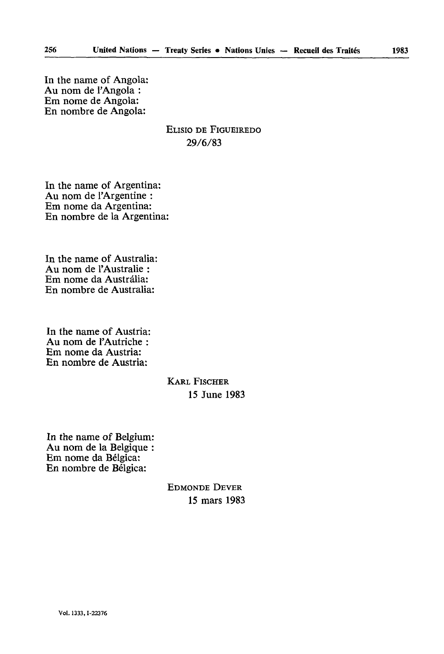In the name of Angola: Au nom de l'Angola : Em nome de Angola: En nombre de Angola:

> ELISIO DE FIGUEIREDO 29/6/83

In the name of Argentina: Au nom de l'Argentine : Em nome da Argentina: En nombre de la Argentina:

In the name of Australia: Au nom de l'Australie : Em nome da Austrália: En nombre de Australia:

In the name of Austria: Au nom de l'Autriche : Em nome da Austria: En nombre de Austria:

> KARL FISCHER 15 June 1983

In the name of Belgium: Au nom de la Belgique : Em nome da Bélgica: En nombre de Bélgica:

> EDMONDE DEVER 15 mars 1983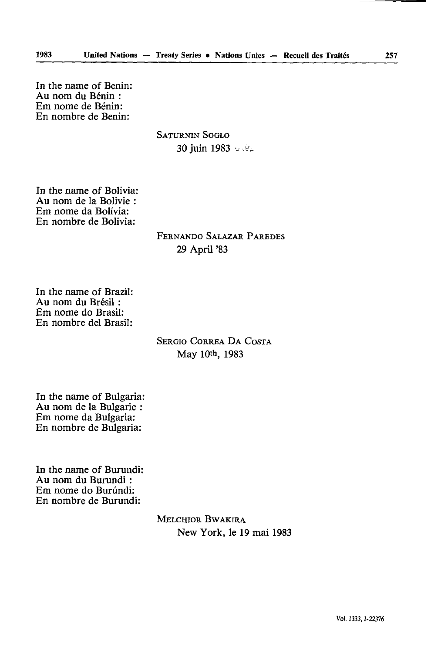In the name of Benin: Au nom du Bénin : Em nome de Bénin: En nombre de Bénin:

> SATURNIN SOGLO 30 juin 1983

In the name of Bolivia: Au nom de la Bolivie : Em nome da Bolivia: En nombre de Bolivia:

# FERNANDO SALAZAR PAREDES 29 April '83

In the name of Brazil: Au nom du Brésil : Em nome do Brasil: En nombre del Brasil:

# SERGIO CORREA DA COSTA May 10th, 1983

In the name of Bulgaria: Au nom de la Bulgarie : Em nome da Bulgaria: En nombre de Bulgaria:

In the name of Burundi: Au nom du Burundi : Em nome do Burúndi: En nombre de Burundi:

> MELCHIOR BWAKIRA New York, le 19 mai 1983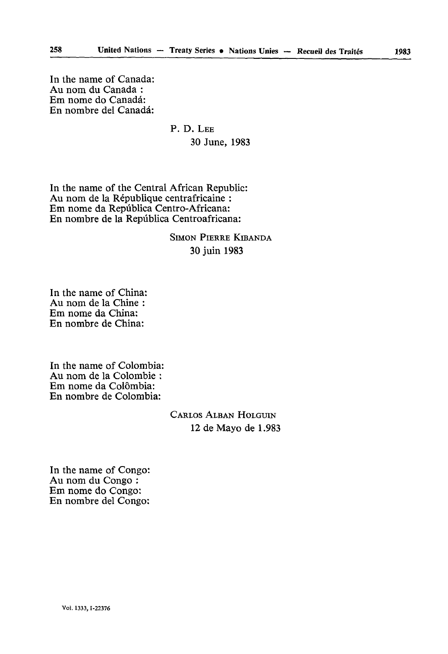In the name of Canada: Au nom du Canada : Em nome do Canada: En nombre del Canada:

# P. D. LEE

30 June, 1983

In the name of the Central African Republic: Au nom de la République centrafricaine : Em nome da Repûblica Centro-Africana: En nombre de la Repûblica Centroafricana:

> SIMON PIERRE KIBANDA 30 juin 1983

In the name of China: Au nom de la Chine : Em nome da China: En nombre de China:

In the name of Colombia: Au nom de la Colombie : Em nome da Colômbia: En nombre de Colombia:

# CARLOS ALBAN HOLGUIN 12deMayode 1.983

In the name of Congo: Au nom du Congo : Em nome do Congo: En nombre del Congo: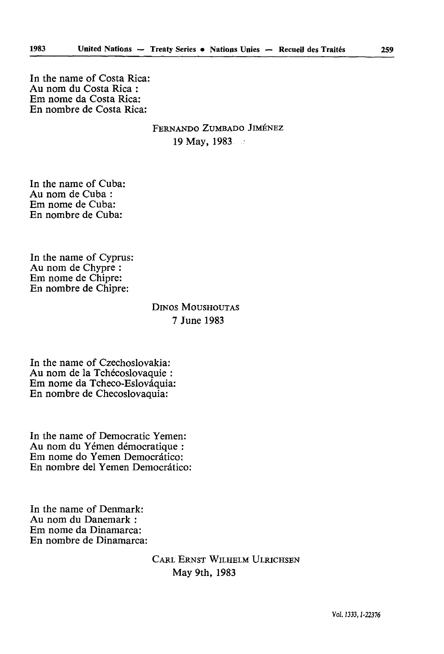In the name of Costa Rica: Au nom du Costa Rica : Em nome da Costa Rica: En nombre de Costa Rica:

> FERNANDO ZUMBADO JIMÉNEZ 19 May, 1983.

In the name of Cuba: Au nom de Cuba : Em nome de Cuba: En nombre de Cuba:

In the name of Cyprus: Au nom de Chypre : Em nome de Chipre: En nombre de Chipre:

> **DlNOS** MOUSHOUTAS 7 June 1983

In the name of Czechoslovakia: Au nom de la Tchécoslovaquie : Em nome da Tcheco-Eslovâquia: En nombre de Checoslovaquia:

In the name of Democratic Yemen: Au nom du Yemen démocratique : Em nome do Yemen Democrâtico: En nombre del Yemen Democrâtico:

In the name of Denmark: Au nom du Danemark : Em nome da Dinamarca: En nombre de Dinamarca:

> CARL ERNST WILHELM ULRICHSEN May 9th, 1983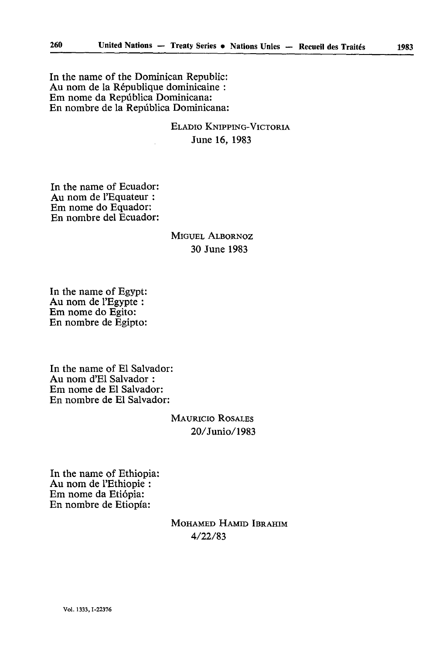In the name of the Dominican Republic: Au nom de la République dominicaine : Em nome da Repûblica Dominicana: En nombre de la Repûblica Dominicana:

> ELADIO KNIPPING-VICTORIA June 16, 1983

In the name of Ecuador: Au nom de l'Equateur : Em nome do Equador: En nombre del Ecuador:

# MIGUEL ALBORNOZ 30 June 1983

In the name of Egypt: Au nom de l'Egypte : Em nome do Egito: En nombre de Egipto:

In the name of El Salvador: Au nom d'El Salvador : Em nome de El Salvador: En nombre de El Salvador:

# MAURICIO ROSALES 20/Junio/1983

In the name of Ethiopia: Au nom de l'Ethiopie : Em nome da Etiôpia: En nombre de Etiôpia:

# MOHAMED HAMID IBRAHIM 4/22/83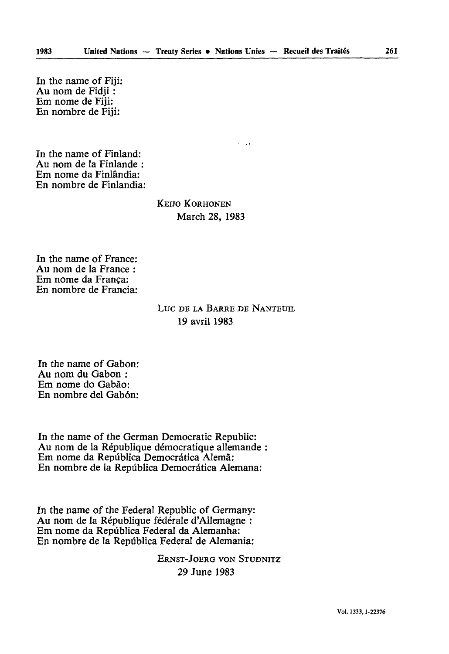$\lambda = 1.2$  g  $\lambda$ 

In the name of Fiji: Au nom de Fidji : Em nome de Fiji: En nombre de Fiji:

In the name of Finland: Au nom de la Finlande : Em nome da Finlândia: En nombre de Finlandia:

> KEIJO KORHONEN March 28, 1983

In the name of France: Au nom de la France : Em nome da França: En nombre de Francia:

# Luc DE LA BARRE DE NANTEUIL 19 avril 1983

In the name of Gabon: Au nom du Gabon : Em nome do Gabâo: En nombre del Gabon:

In the name of the German Democratic Republic: Au nom de la République démocratique allemande : Em nome da Repûblica Democrâtica Alemâ: En nombre de la Repûblica Democrâtica Alemana:

In the name of the Federal Republic of Germany: Au nom de la République fédérale d'Allemagne : Em nome da Repûblica Federal da Alemanha: En nombre de la Repûblica Federal de Alemania:

> ERNST-JOERG VON STUDNITZ 29 June 1983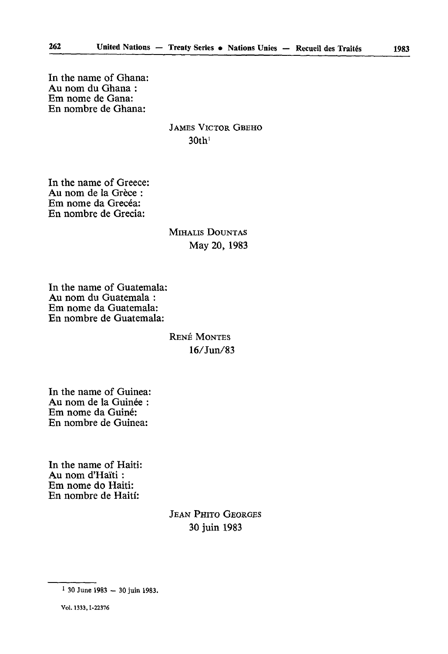In the name of Ghana: Au nom du Ghana : Em nome de Gana: En nombre de Ghana:

# JAMES VICTOR GBEHO  $30th<sup>1</sup>$

In the name of Greece: Au nom de la Grèce : Em nome da Grecéa: En nombre de Grecia:

# MIHALIS DOUNTAS May 20, 1983

In the name of Guatemala: Au nom du Guatemala : Em nome da Guatemala: En nombre de Guatemala:

# RENÉ MONTES 16/Jun/83

In the name of Guinea: Au nom de la Guinée : Em nome da Guiné: En nombre de Guinea:

In the name of Haiti: Au nom d'Haïti : Em nome do Haiti: En nombre de Haiti':

# JEAN PHITO GEORGES 30 juin 1983

 $1$  30 June 1983 - 30 juin 1983.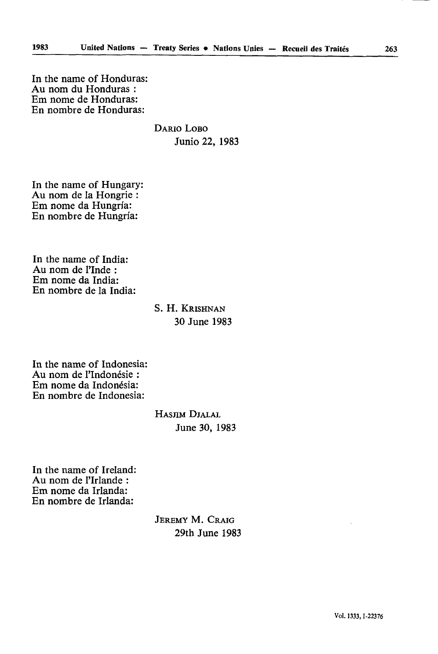In the name of Honduras: Au nom du Honduras : Em nome de Honduras: En nombre de Honduras:

> DARIO LOBO Junio 22, 1983

In the name of Hungary: Au nom de la Hongrie : Em nome da Hungria: En nombre de Hungria:

In the name of India: Au nom de l'Inde : Em nome da India: En nombre de la India:

> S. H. KRISHNAN 30 June 1983

In the name of Indonesia: Au nom de l'Indonésie : Em nome da Indonésia: En nombre de Indonesia:

> HASJIM DJALAL June 30, 1983

In the name of Ireland: Au nom de l'Irlande : Em nome da Irlanda: En nombre de Irlanda:

> JEREMY M. CRAIG 29th June 1983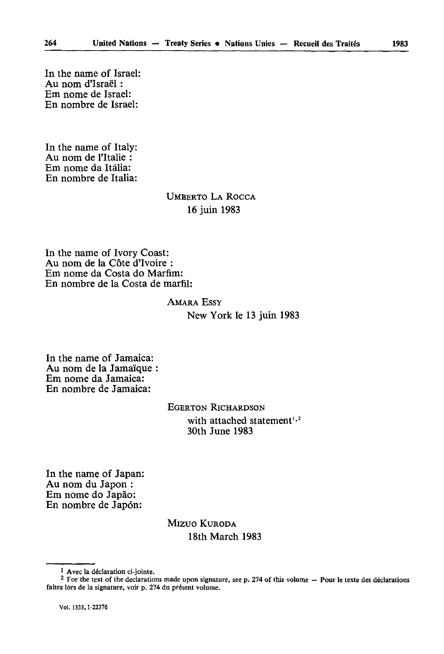In the name of Israel: Au nom d'Israël : Em nome de Israël: En nombre de Israël:

In the name of Italy: Au nom de l'Italie : Em nome da Itâlia: En nombre de Itâlia:

# UMBERTO LA ROCCA 16 juin 1983

In the name of Ivory Coast: Au nom de la Côte d'Ivoire : Em nome da Costa do Marfim: En nombre de la Costa de marfil:

> AMARA ESSY New York le 13 juin 1983

In the name of Jamaica: Au nom de la Jamaïque : Em nome da Jamaica: En nombre de Jamaica:

> EGERTON RICHARDSON with attached statement<sup>1,2</sup> 30th June 1983

In the name of Japan: Au nom du Japon : Em nome do Japâo: En nombre de Japon:

# Mizuo KURODA 18th March 1983

<sup>1</sup> Avec la déclaration ci-jointe.

<sup>&</sup>lt;sup>2</sup> For the text of the declarations made upon signature, see p. 274 of this volume – Pour le texte des déclarations faites lors de la signature, voir p. 274 du présent volume.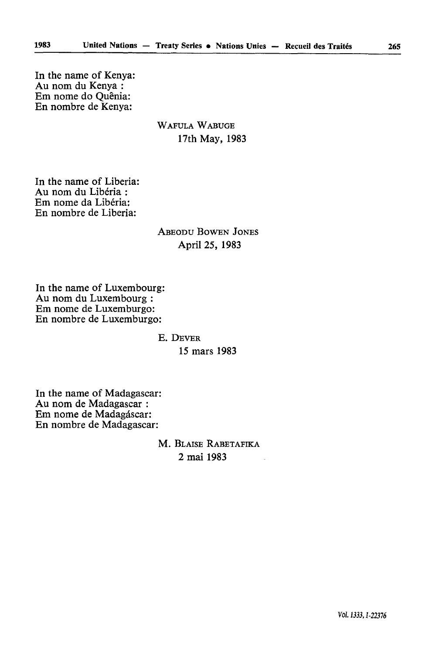In the name of Kenya: Au nom du Kenya : Em nome do Quênia: En nombre de Kenya:

> WAFULA WABUGE 17th May, 1983

In the name of Liberia: Au nom du Libéria : Em nome da Libéria: En nombre de Libéria:

# ABEODU BOWEN JONES April 25, 1983

In the name of Luxembourg: Au nom du Luxembourg : Em nome de Luxemburgo: En nombre de Luxemburgo:

E. DEVER

15 mars 1983

In the name of Madagascar: Au nom de Madagascar : Em nome de Madagascar: En nombre de Madagascar:

> M. BLAISE RABETAFIKA 2 mai 1983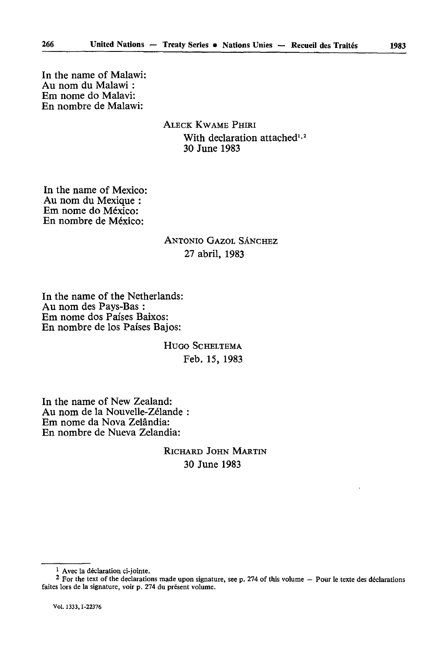In the name of Malawi: Au nom du Malawi : Em nome do Malavi: En nombre de Malawi:

> ALECK KWAME PHIRI With declaration attached $1,2$ 30 June 1983

In the name of Mexico: Au nom du Mexique : Em nome do Mexico: En nombre de Mexico:

# ANTONIO GAZOL SÂNCHEZ 27 abril, 1983

In the name of the Netherlands: Au nom des Pays-Bas : Em nome dos Paises Baixos: En nombre de los Paises Bajos:

> HUGO SCHELTEMA Feb. 15, 1983

In the name of New Zealand: Au nom de la Nouvelle-Zélande Em nome da Nova Zelândia: En nombre de Nueva Zelândia:

> RICHARD JOHN MARTIN 30 June 1983

<sup>1</sup> Avec la déclaration ci-jointe.

<sup>&</sup>lt;sup>2</sup> For the text of the declarations made upon signature, see p. 274 of this volume – Pour le texte des déclarations faites lors de la signature, voir p. 274 du présent volume.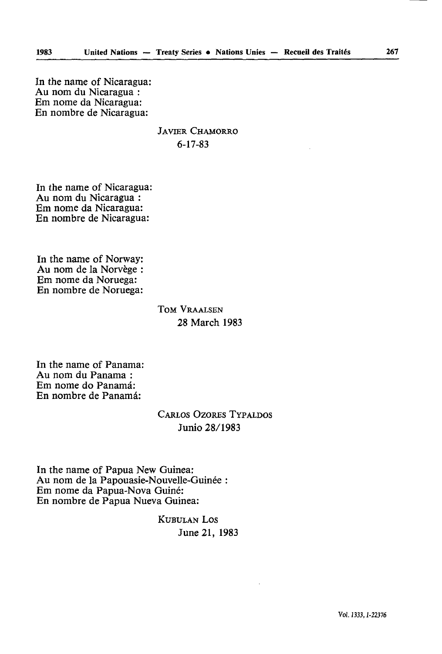In the name of Nicaragua: Au nom du Nicaragua : Em nome da Nicaragua: En nombre de Nicaragua:

> JAVIER CHAMORRO 6-17-83

In the name of Nicaragua: Au nom du Nicaragua : Em nome da Nicaragua: En nombre de Nicaragua:

In the name of Norway: Au nom de la Norvège : Em nome da Noruega: En nombre de Noruega:

> TOM VRAALSEN 28 March 1983

In the name of Panama: Au nom du Panama : Em nome do Panama: En nombre de Panama:

# CARLOS OZORES TYPALDOS Junio 28/1983

In the name of Papua New Guinea: Au nom de la Papouasie-Nouvelle-Guinée : Em nome da Papua-Nova Guiné: En nombre de Papua Nueva Guinea:

> KUBULAN LOS June 21, 1983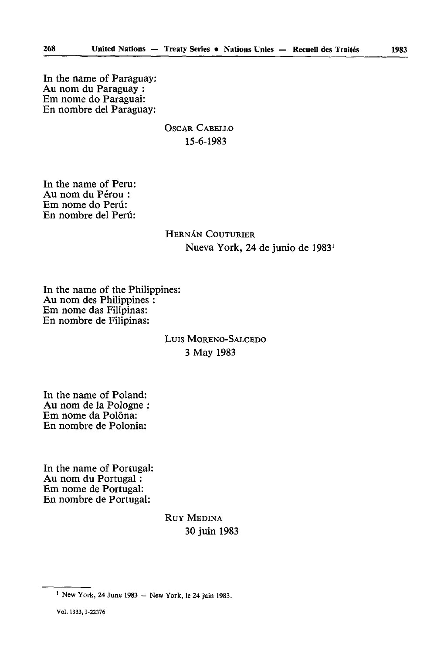In the name of Paraguay: Au nom du Paraguay : Em nome do Paraguai: En nombre del Paraguay:

> OSCAR CABELLO 15-6-1983

In the name of Peru: Au nom du Pérou : Em nome do Peru: En nombre del Peru:

> HERNÂN COUTURIER Nueva York, 24 de junio de 1983'

In the name of the Philippines: Au nom des Philippines : Em nome das Filipinas: En nombre de Filipinas:

# Luis MORENO-SALCEDO 3 May 1983

In the name of Poland: Au nom de la Pologne : Em nome da Polôna: En nombre de Polonia:

In the name of Portugal: Au nom du Portugal : Em nome de Portugal: En nombre de Portugal:

# RUY MEDINA 30 juin 1983

 $1$  New York, 24 June 1983 - New York, le 24 juin 1983.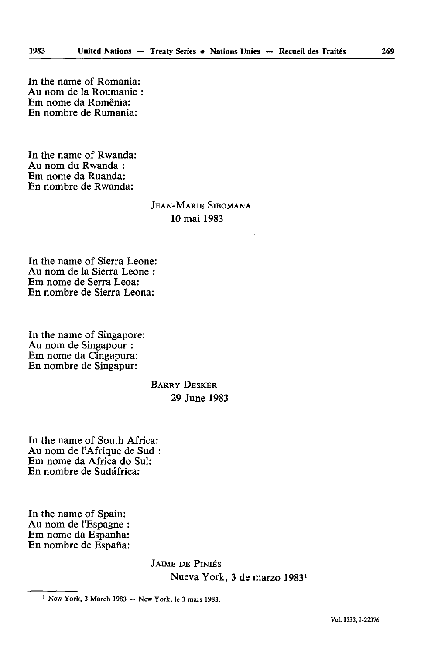In the name of Romania: Au nom de la Roumanie : Em nome da Romênia: En nombre de Rumania:

In the name of Rwanda: Au nom du Rwanda : Em nome da Ruanda: En nombre de Rwanda:

> JEAN-MARIE SIBOMANA 10 mai 1983

In the name of Sierra Leone: Au nom de la Sierra Leone : Em nome de Serra Leoa: En nombre de Sierra Leona:

In the name of Singapore: Au nom de Singapour : Em nome da Cingapura: En nombre de Singapur:

> BARRY DESKER 29 June 1983

In the name of South Africa: Au nom de l'Afrique de Sud : Em nome da Africa do Sul: En nombre de Sudàfrica:

In the name of Spain: Au nom de l'Espagne : Em nome da Espanha: En nombre de España:

> **JAIME DE PINIÉS** Nueva York, 3 de marzo 1983'

 $1$  New York, 3 March 1983 - New York, le 3 mars 1983.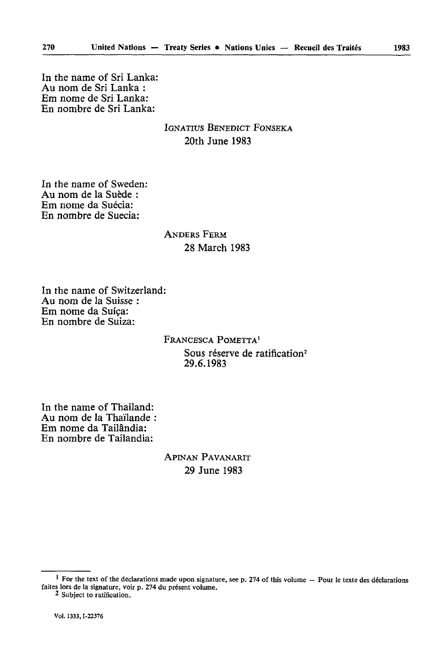In the name of Sri Lanka: Au nom de Sri Lanka : Em nome de Sri Lanka: En nombre de Sri Lanka:

# IGNATIUS BENEDICT FONSEKA 20th June 1983

In the name of Sweden: Au nom de la Suède : Em nome da Suécia: En nombre de Suecia:

# ANDERS FERM 28 March 1983

In the name of Switzerland: Au nom de la Suisse : Em nome da Suiça: En nombre de Suiza:

> FRANCESCA POMETTA' Sous réserve de ratification<sup>2</sup> 29.6.1983

In the name of Thailand: Au nom de la Thaïlande : Em nome da Tailândia: En nombre de Tailândia:

> APINAN PAVANARIT 29 June 1983

<sup>&</sup>lt;sup>1</sup> For the text of the declarations made upon signature, see p. 274 of this volume  $-$  Pour le texte des déclarations faites lors de la signature, voir p. 274 du présent volume.

<sup>2</sup> Subject to ratification.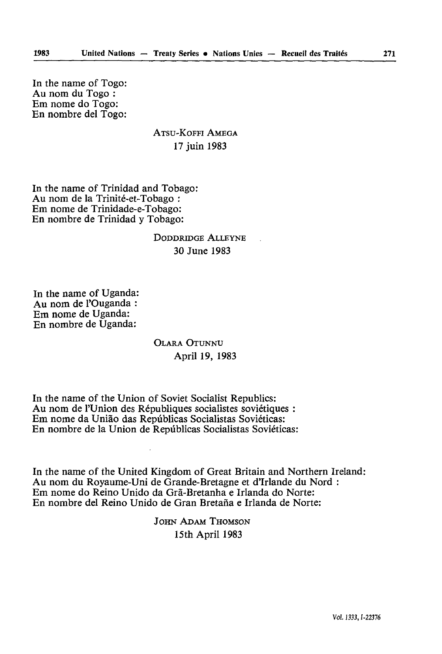In the name of Togo: Au nom du Togo : Em nome do Togo: En nombre del Togo:

> ATSU-KOFFI AMEGA 17 juin 1983

In the name of Trinidad and Tobago: Au nom de la Trinité-et-Tobago : Em nome de Trinidade-e-Tobago: En nombre de Trinidad y Tobago:

> DODDRIDGE ALLEYNE 30 June 1983

In the name of Uganda: Au nom de l'Ouganda : Em nome de Uganda: En nombre de Uganda:

> OLARA OTUNNU April 19, 1983

In the name of the Union of Soviet Socialist Republics: Au nom de l'Union des Républiques socialistes soviétiques : Em nome da Uniâo das Repûblicas Socialistas Soviéticas: En nombre de la Union de Repûblicas Socialistas Soviéticas:

In the name of the United Kingdom of Great Britain and Northern Ireland: Au nom du Royaume-Uni de Grande-Bretagne et d'Irlande du Nord : Em nome do Reino Unido da Grã-Bretanha e Irlanda do Norte: En nombre del Reino Unido de Gran Bretaña e Irlanda de Norte:

> JOHN ADAM THOMSON 15th April 1983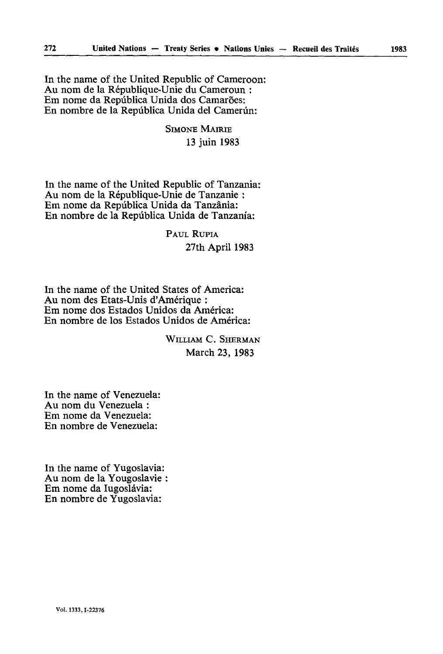In the name of the United Republic of Cameroon: Au nom de la République-Unie du Cameroun : Em nome da Repûblica Unida dos Camarôes: En nombre de la Repûblica Unida del Camerûn:

> SIMONE MAIRIE 13 juin 1983

In the name of the United Republic of Tanzania: Au nom de la République-Unie de Tanzanie : Em nome da Repûblica Unida da Tanzania: En nombre de la Repûblica Unida de Tanzania:

PAUL RUPIA

27th April 1983

In the name of the United States of America: Au nom des Etats-Unis d'Amérique : Em nome dos Estados Unidos da America: En nombre de los Estados Unidos de America:

> WILLIAM C. SHERMAN March 23, 1983

In the name of Venezuela: Au nom du Venezuela : Em nome da Venezuela: En nombre de Venezuela:

In the name of Yugoslavia: Au nom de la Yougoslavie : Em nome da lugoslâvia: En nombre de Yugoslavia: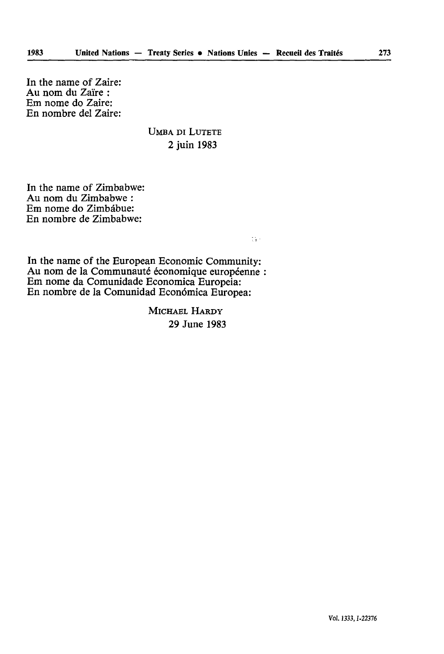In the name of Zaire: Au nom du Zaïre : Em nome do *Zaire:*  En nombre del *Zaire:*

> UMBA DI LUTETE 2 juin 1983

In the name of Zimbabwe: Au nom du Zimbabwe : Em nome do Zimbâbue: En nombre de Zimbabwe:

In the name of the European Economic Community: Au nom de la Communauté économique européenne : Em nome da Comunidade Economica Europeia: En nombre de la Comunidad Econômica Europea:

> MICHAEL HARDY 29 June 1983

 $\overline{\mathcal{O}}(1)$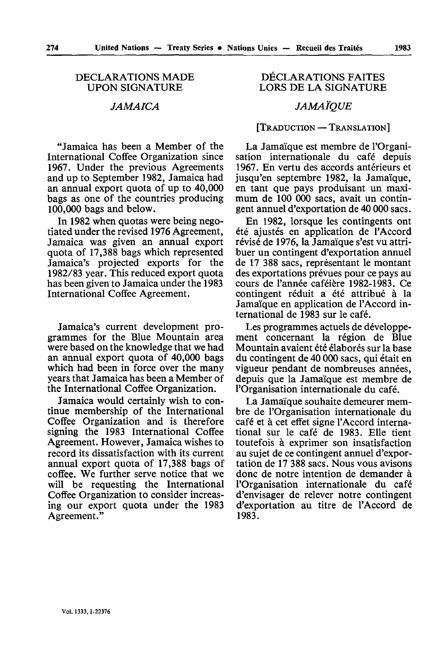#### DECLARATIONS MADE UPON SIGNATURE

# *JAMAICA*

"Jamaica has been a Member of the International Coffee Organization since 1967. Under the previous Agreements and up to September 1982, Jamaica had an annual export quota of up to 40,000 bags as one of the countries producing 100,000 bags and below.

In 1982 when quotas were being nego tiated under the revised 1976 Agreement, Jamaica was given an annual export quota of 17,388 bags which represented Jamaica's projected exports for the 1982/83 year. This reduced export quota has been given to Jamaica under the 1983 International Coffee Agreement.

Jamaica's current development pro grammes for the Blue Mountain area were based on the knowledge that we had an annual export quota of 40,000 bags which had been in force over the many years that Jamaica has been a Member of the International Coffee Organization.

Jamaica would certainly wish to con tinue membership of the International Coffee Organization and is therefore signing the 1983 International Coffee Agreement. However, Jamaica wishes to record its dissatisfaction with its current annual export quota of 17,388 bags of coffee. We further serve notice that we will be requesting the International Coffee Organization to consider increas ing our export quota under the 1983 Agreement."

#### DÉCLARATIONS FAITES LORS DE LA SIGNATURE

#### *JAMAÏQUE*

#### [TRADUCTION — TRANSLATION]

La Jamaïque est membre de l'Organi sation internationale du café depuis 1967. En vertu des accords antérieurs et jusqu'en septembre 1982, la Jamaïque, en tant que pays produisant un maxi mum de 100 000 sacs, avait un contin gent annuel d'exportation de 40 000 sacs.

En 1982, lorsque les contingents ont été ajustés en application de l'Accord révisé de 1976, la Jamaïque s'est vu attri buer un contingent d'exportation annuel de 17 388 sacs, représentant le montant des exportations prévues pour ce pays au cours de l'année caféière 1982-1983. Ce contingent réduit a été attribué à la Jamaïque en application de l'Accord in ternational de 1983 sur le café.

Les programmes actuels de développe ment concernant la région de Blue Mountain avaient été élaborés sur la base du contingent de 40 000 sacs, qui était en vigueur pendant de nombreuses années, depuis que la Jamaïque est membre de l'Organisation internationale du café.

La Jamaïque souhaite demeurer membre de l'Organisation internationale du café et à cet effet signe l'Accord interna tional sur le café de 1983. Elle tient toutefois à exprimer son insatisfaction au sujet de ce contingent annuel d'expor tation de 17 388 sacs. Nous vous avisons donc de notre intention de demander à l'Organisation internationale du café d'envisager de relever notre contingent d'exportation au titre de l'Accord de 1983.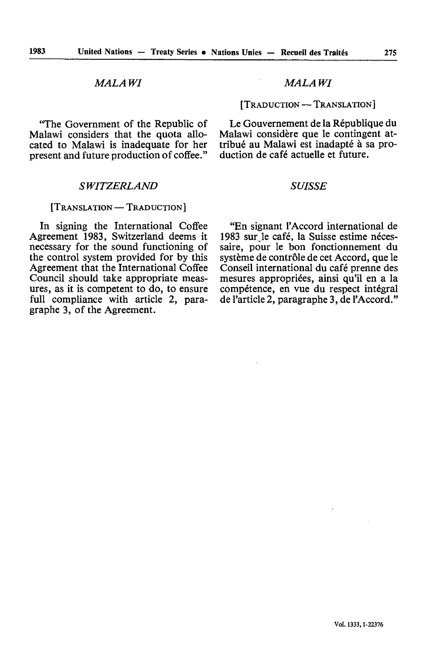*MALAWI*

"The Government of the Republic of Malawi considers that the quota allo cated to Malawi is inadequate for her present and future production of coffee."

#### *SWITZERLAND*

#### [TRANSLATION — TRADUCTION]

In signing the International Coffee Agreement 1983, Switzerland deems it necessary for the sound functioning of the control system provided for by this Agreement that the International Coffee Council should take appropriate meas ures, as it is competent to do, to ensure full compliance with article 2, para graphe 3, of the Agreement.

#### *MALA WI*

#### [TRADUCTION — TRANSLATION]

Le Gouvernement de la République du Malawi considère que le contingent at tribué au Malawi est inadapté à sa pro duction de café actuelle et future.

#### *SUISSE*

"En signant l'Accord international de 1983 sur le café, la Suisse estime nécessaire, pour le bon fonctionnement du système de contrôle de cet Accord, que le Conseil international du café prenne des mesures appropriées, ainsi qu'il en a la compétence, en vue du respect intégral de l'article 2, paragraphe 3, de l'Accord."